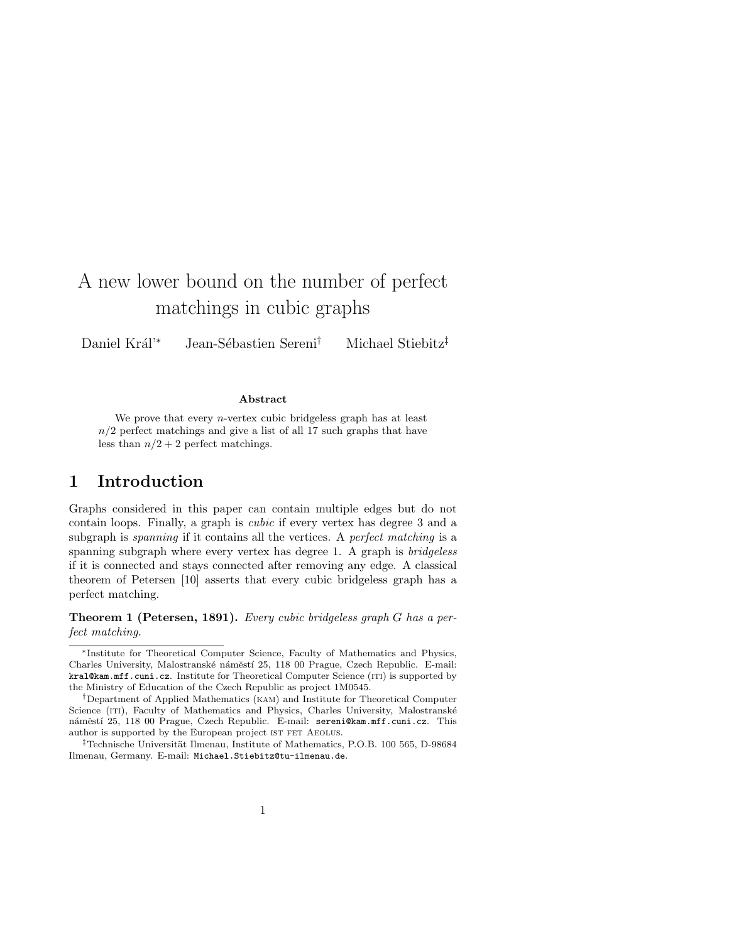# A new lower bound on the number of perfect matchings in cubic graphs

Daniel Král<sup>'∗</sup> Jean-Sébastien Sereni<sup>†</sup> Michael Stiebitz<sup>‡</sup>

#### Abstract

We prove that every *n*-vertex cubic bridgeless graph has at least  $n/2$  perfect matchings and give a list of all 17 such graphs that have less than  $n/2 + 2$  perfect matchings.

#### 1 Introduction

Graphs considered in this paper can contain multiple edges but do not contain loops. Finally, a graph is cubic if every vertex has degree 3 and a subgraph is spanning if it contains all the vertices. A perfect matching is a spanning subgraph where every vertex has degree 1. A graph is *bridgeless* if it is connected and stays connected after removing any edge. A classical theorem of Petersen [10] asserts that every cubic bridgeless graph has a perfect matching.

Theorem 1 (Petersen, 1891). Every cubic bridgeless graph G has a perfect matching.

<sup>∗</sup>Institute for Theoretical Computer Science, Faculty of Mathematics and Physics, Charles University, Malostranské náměstí 25, 118 00 Prague, Czech Republic. E-mail: kral@kam.mff.cuni.cz. Institute for Theoretical Computer Science (ITI) is supported by the Ministry of Education of the Czech Republic as project 1M0545.

<sup>†</sup>Department of Applied Mathematics (kam) and Institute for Theoretical Computer Science (ITI), Faculty of Mathematics and Physics, Charles University, Malostranské náměstí 25, 118 00 Prague, Czech Republic. E-mail: sereni@kam.mff.cuni.cz. This author is supported by the European project IST FET AEOLUS.

<sup>&</sup>lt;sup>‡</sup>Technische Universität Ilmenau, Institute of Mathematics, P.O.B. 100 565, D-98684 Ilmenau, Germany. E-mail: Michael.Stiebitz@tu-ilmenau.de.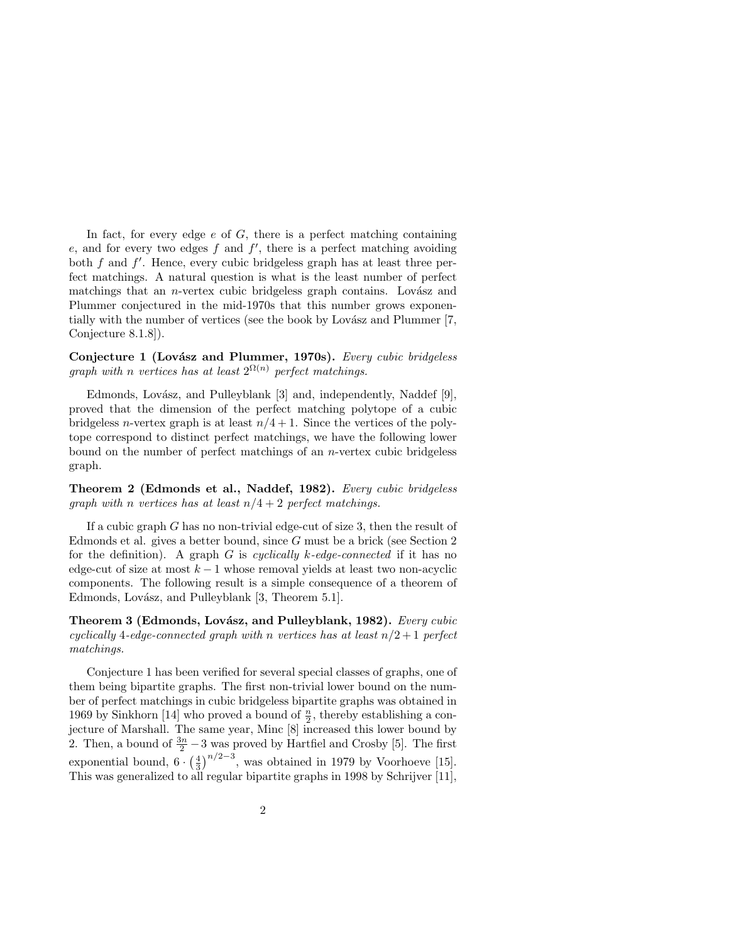In fact, for every edge  $e$  of  $G$ , there is a perfect matching containing  $e$ , and for every two edges  $f$  and  $f'$ , there is a perfect matching avoiding both  $f$  and  $f'$ . Hence, every cubic bridgeless graph has at least three perfect matchings. A natural question is what is the least number of perfect matchings that an *n*-vertex cubic bridgeless graph contains. Lovász and Plummer conjectured in the mid-1970s that this number grows exponentially with the number of vertices (see the book by Lovász and Plummer [7, Conjecture 8.1.8]).

Conjecture 1 (Lovász and Plummer, 1970s). Every cubic bridgeless graph with n vertices has at least  $2^{\Omega(n)}$  perfect matchings.

Edmonds, Lovász, and Pulleyblank [3] and, independently, Naddef [9], proved that the dimension of the perfect matching polytope of a cubic bridgeless n-vertex graph is at least  $n/4 + 1$ . Since the vertices of the polytope correspond to distinct perfect matchings, we have the following lower bound on the number of perfect matchings of an n-vertex cubic bridgeless graph.

Theorem 2 (Edmonds et al., Naddef, 1982). Every cubic bridgeless graph with n vertices has at least  $n/4 + 2$  perfect matchings.

If a cubic graph G has no non-trivial edge-cut of size 3, then the result of Edmonds et al. gives a better bound, since G must be a brick (see Section 2 for the definition). A graph G is cyclically k-edge-connected if it has no edge-cut of size at most  $k - 1$  whose removal yields at least two non-acyclic components. The following result is a simple consequence of a theorem of Edmonds, Lovász, and Pulleyblank [3, Theorem 5.1].

Theorem 3 (Edmonds, Lovász, and Pulleyblank, 1982). Every cubic cyclically 4-edge-connected graph with n vertices has at least  $n/2+1$  perfect matchings.

Conjecture 1 has been verified for several special classes of graphs, one of them being bipartite graphs. The first non-trivial lower bound on the number of perfect matchings in cubic bridgeless bipartite graphs was obtained in 1969 by Sinkhorn [14] who proved a bound of  $\frac{n}{2}$ , thereby establishing a conjecture of Marshall. The same year, Minc [8] increased this lower bound by 2. Then, a bound of  $\frac{3n}{2} - 3$  was proved by Hartfiel and Crosby [5]. The first exponential bound,  $6 \cdot \left(\frac{4}{3}\right)^{n/2-3}$ , was obtained in 1979 by Voorhoeve [15]. This was generalized to all regular bipartite graphs in 1998 by Schrijver [11],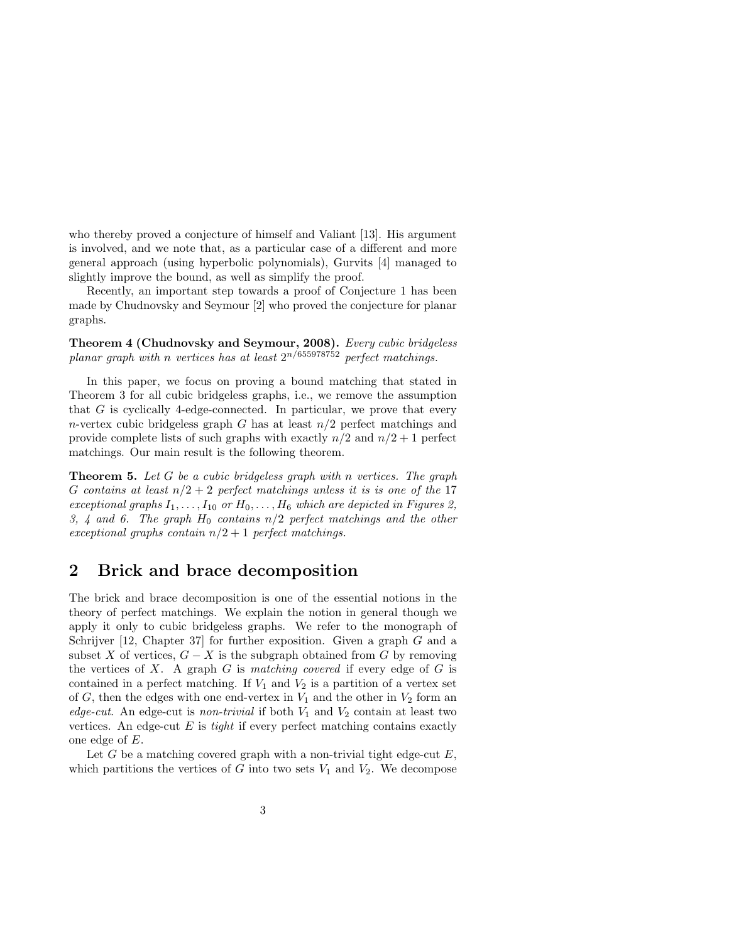who thereby proved a conjecture of himself and Valiant [13]. His argument is involved, and we note that, as a particular case of a different and more general approach (using hyperbolic polynomials), Gurvits [4] managed to slightly improve the bound, as well as simplify the proof.

Recently, an important step towards a proof of Conjecture 1 has been made by Chudnovsky and Seymour [2] who proved the conjecture for planar graphs.

Theorem 4 (Chudnovsky and Seymour, 2008). Every cubic bridgeless planar graph with n vertices has at least  $2^{n/655978752}$  perfect matchings.

In this paper, we focus on proving a bound matching that stated in Theorem 3 for all cubic bridgeless graphs, i.e., we remove the assumption that  $G$  is cyclically 4-edge-connected. In particular, we prove that every n-vertex cubic bridgeless graph G has at least  $n/2$  perfect matchings and provide complete lists of such graphs with exactly  $n/2$  and  $n/2 + 1$  perfect matchings. Our main result is the following theorem.

**Theorem 5.** Let G be a cubic bridgeless graph with n vertices. The graph G contains at least  $n/2 + 2$  perfect matchings unless it is is one of the 17 exceptional graphs  $I_1, \ldots, I_{10}$  or  $H_0, \ldots, H_6$  which are depicted in Figures 2, 3, 4 and 6. The graph  $H_0$  contains  $n/2$  perfect matchings and the other exceptional graphs contain  $n/2+1$  perfect matchings.

## 2 Brick and brace decomposition

The brick and brace decomposition is one of the essential notions in the theory of perfect matchings. We explain the notion in general though we apply it only to cubic bridgeless graphs. We refer to the monograph of Schrijver  $[12, Chapter 37]$  for further exposition. Given a graph G and a subset X of vertices,  $G - X$  is the subgraph obtained from G by removing the vertices of  $X$ . A graph  $G$  is matching covered if every edge of  $G$  is contained in a perfect matching. If  $V_1$  and  $V_2$  is a partition of a vertex set of  $G$ , then the edges with one end-vertex in  $V_1$  and the other in  $V_2$  form an edge-cut. An edge-cut is non-trivial if both  $V_1$  and  $V_2$  contain at least two vertices. An edge-cut  $E$  is *tight* if every perfect matching contains exactly one edge of E.

Let  $G$  be a matching covered graph with a non-trivial tight edge-cut  $E$ , which partitions the vertices of G into two sets  $V_1$  and  $V_2$ . We decompose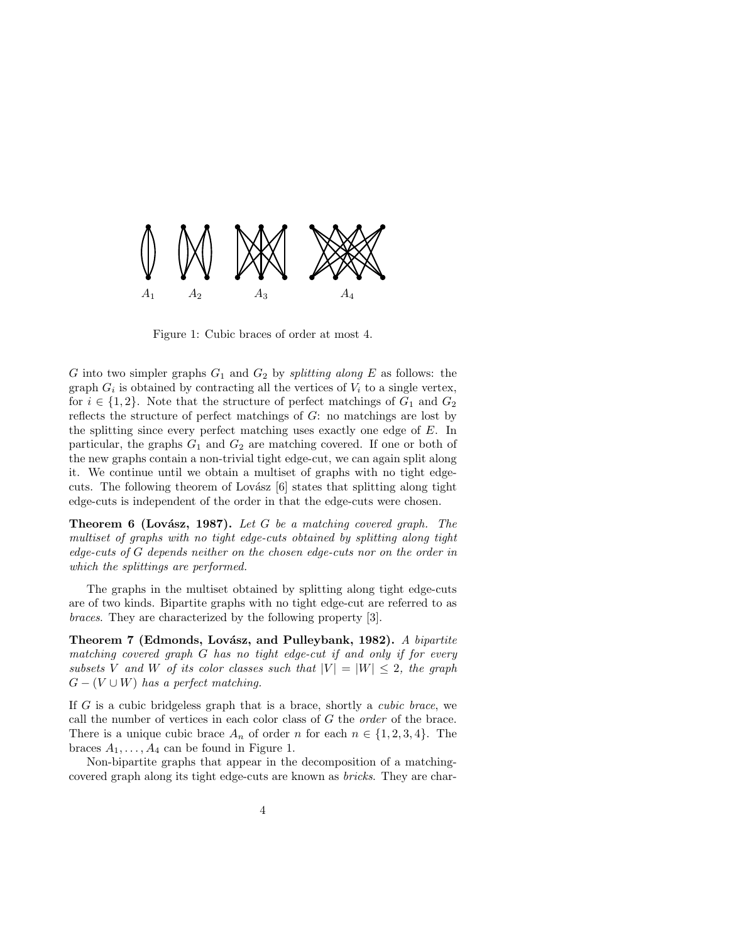

Figure 1: Cubic braces of order at most 4.

G into two simpler graphs  $G_1$  and  $G_2$  by *splitting along* E as follows: the graph  $G_i$  is obtained by contracting all the vertices of  $V_i$  to a single vertex, for  $i \in \{1,2\}$ . Note that the structure of perfect matchings of  $G_1$  and  $G_2$ reflects the structure of perfect matchings of G: no matchings are lost by the splitting since every perfect matching uses exactly one edge of E. In particular, the graphs  $G_1$  and  $G_2$  are matching covered. If one or both of the new graphs contain a non-trivial tight edge-cut, we can again split along it. We continue until we obtain a multiset of graphs with no tight edgecuts. The following theorem of Lovász  $[6]$  states that splitting along tight edge-cuts is independent of the order in that the edge-cuts were chosen.

**Theorem 6 (Lovász, 1987).** Let G be a matching covered graph. The multiset of graphs with no tight edge-cuts obtained by splitting along tight edge-cuts of G depends neither on the chosen edge-cuts nor on the order in which the splittings are performed.

The graphs in the multiset obtained by splitting along tight edge-cuts are of two kinds. Bipartite graphs with no tight edge-cut are referred to as braces. They are characterized by the following property [3].

Theorem 7 (Edmonds, Lovász, and Pulleybank, 1982). A bipartite matching covered graph G has no tight edge-cut if and only if for every subsets V and W of its color classes such that  $|V| = |W| \leq 2$ , the graph  $G - (V \cup W)$  has a perfect matching.

If  $G$  is a cubic bridgeless graph that is a brace, shortly a *cubic brace*, we call the number of vertices in each color class of  $G$  the *order* of the brace. There is a unique cubic brace  $A_n$  of order n for each  $n \in \{1, 2, 3, 4\}$ . The braces  $A_1, \ldots, A_4$  can be found in Figure 1.

Non-bipartite graphs that appear in the decomposition of a matchingcovered graph along its tight edge-cuts are known as bricks. They are char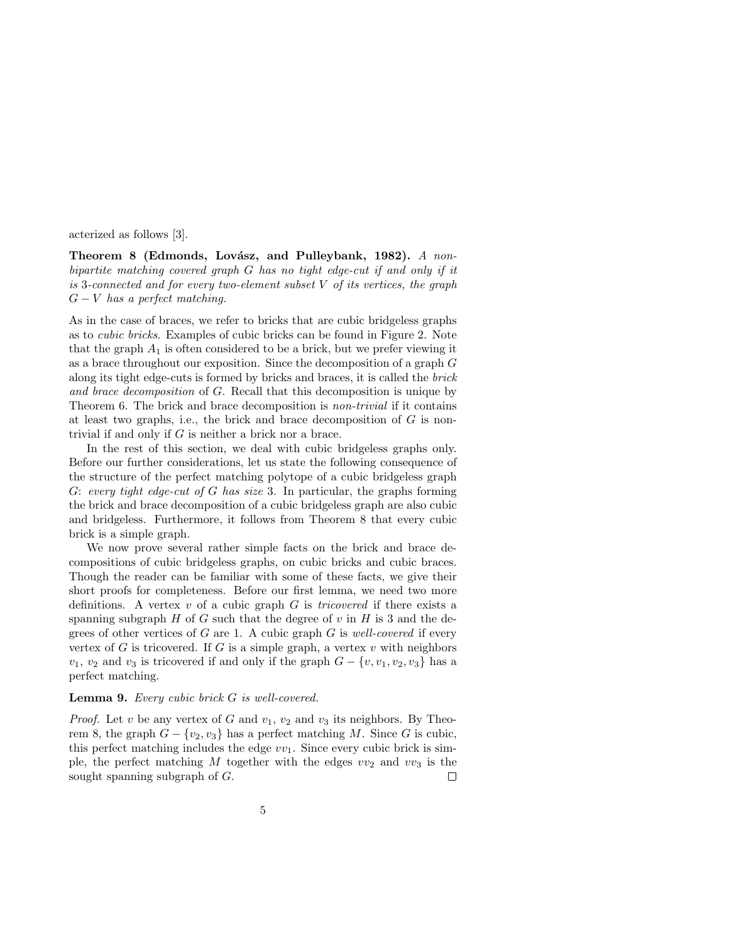acterized as follows [3].

Theorem 8 (Edmonds, Lovász, and Pulleybank, 1982). A nonbipartite matching covered graph G has no tight edge-cut if and only if it is 3-connected and for every two-element subset  $V$  of its vertices, the graph  $G - V$  has a perfect matching.

As in the case of braces, we refer to bricks that are cubic bridgeless graphs as to cubic bricks. Examples of cubic bricks can be found in Figure 2. Note that the graph  $A_1$  is often considered to be a brick, but we prefer viewing it as a brace throughout our exposition. Since the decomposition of a graph G along its tight edge-cuts is formed by bricks and braces, it is called the brick and brace decomposition of G. Recall that this decomposition is unique by Theorem 6. The brick and brace decomposition is non-trivial if it contains at least two graphs, i.e., the brick and brace decomposition of  $G$  is nontrivial if and only if G is neither a brick nor a brace.

In the rest of this section, we deal with cubic bridgeless graphs only. Before our further considerations, let us state the following consequence of the structure of the perfect matching polytope of a cubic bridgeless graph G: every tight edge-cut of G has size 3. In particular, the graphs forming the brick and brace decomposition of a cubic bridgeless graph are also cubic and bridgeless. Furthermore, it follows from Theorem 8 that every cubic brick is a simple graph.

We now prove several rather simple facts on the brick and brace decompositions of cubic bridgeless graphs, on cubic bricks and cubic braces. Though the reader can be familiar with some of these facts, we give their short proofs for completeness. Before our first lemma, we need two more definitions. A vertex  $v$  of a cubic graph  $G$  is *tricovered* if there exists a spanning subgraph  $H$  of  $G$  such that the degree of  $v$  in  $H$  is 3 and the degrees of other vertices of  $G$  are 1. A cubic graph  $G$  is well-covered if every vertex of  $G$  is tricovered. If  $G$  is a simple graph, a vertex  $v$  with neighbors  $v_1, v_2$  and  $v_3$  is tricovered if and only if the graph  $G - \{v, v_1, v_2, v_3\}$  has a perfect matching.

#### Lemma 9. Every cubic brick G is well-covered.

*Proof.* Let v be any vertex of G and  $v_1$ ,  $v_2$  and  $v_3$  its neighbors. By Theorem 8, the graph  $G - \{v_2, v_3\}$  has a perfect matching M. Since G is cubic, this perfect matching includes the edge  $vv_1$ . Since every cubic brick is simple, the perfect matching M together with the edges  $vv_2$  and  $vv_3$  is the sought spanning subgraph of G.  $\Box$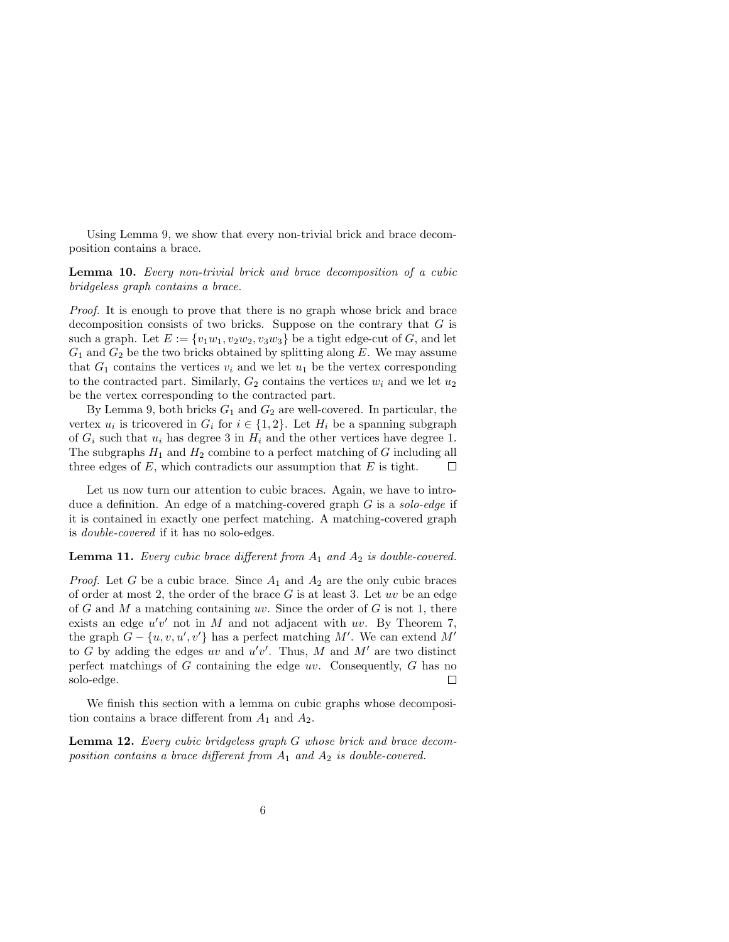Using Lemma 9, we show that every non-trivial brick and brace decomposition contains a brace.

Lemma 10. Every non-trivial brick and brace decomposition of a cubic bridgeless graph contains a brace.

Proof. It is enough to prove that there is no graph whose brick and brace decomposition consists of two bricks. Suppose on the contrary that  $G$  is such a graph. Let  $E := \{v_1w_1, v_2w_2, v_3w_3\}$  be a tight edge-cut of G, and let  $G_1$  and  $G_2$  be the two bricks obtained by splitting along E. We may assume that  $G_1$  contains the vertices  $v_i$  and we let  $u_1$  be the vertex corresponding to the contracted part. Similarly,  $G_2$  contains the vertices  $w_i$  and we let  $u_2$ be the vertex corresponding to the contracted part.

By Lemma 9, both bricks  $G_1$  and  $G_2$  are well-covered. In particular, the vertex  $u_i$  is tricovered in  $G_i$  for  $i \in \{1,2\}$ . Let  $H_i$  be a spanning subgraph of  $G_i$  such that  $u_i$  has degree 3 in  $H_i$  and the other vertices have degree 1. The subgraphs  $H_1$  and  $H_2$  combine to a perfect matching of G including all three edges of  $E$ , which contradicts our assumption that  $E$  is tight.  $\Box$ 

Let us now turn our attention to cubic braces. Again, we have to introduce a definition. An edge of a matching-covered graph  $G$  is a solo-edge if it is contained in exactly one perfect matching. A matching-covered graph is double-covered if it has no solo-edges.

#### **Lemma 11.** Every cubic brace different from  $A_1$  and  $A_2$  is double-covered.

*Proof.* Let G be a cubic brace. Since  $A_1$  and  $A_2$  are the only cubic braces of order at most 2, the order of the brace  $G$  is at least 3. Let  $uv$  be an edge of G and M a matching containing uv. Since the order of G is not 1, there exists an edge  $u'v'$  not in M and not adjacent with uv. By Theorem 7, the graph  $G - \{u, v, u', v'\}$  has a perfect matching M'. We can extend M' to G by adding the edges uv and  $u'v'$ . Thus, M and M' are two distinct perfect matchings of  $G$  containing the edge  $uv$ . Consequently,  $G$  has no solo-edge.  $\Box$ 

We finish this section with a lemma on cubic graphs whose decomposition contains a brace different from  $A_1$  and  $A_2$ .

Lemma 12. Every cubic bridgeless graph G whose brick and brace decomposition contains a brace different from  $A_1$  and  $A_2$  is double-covered.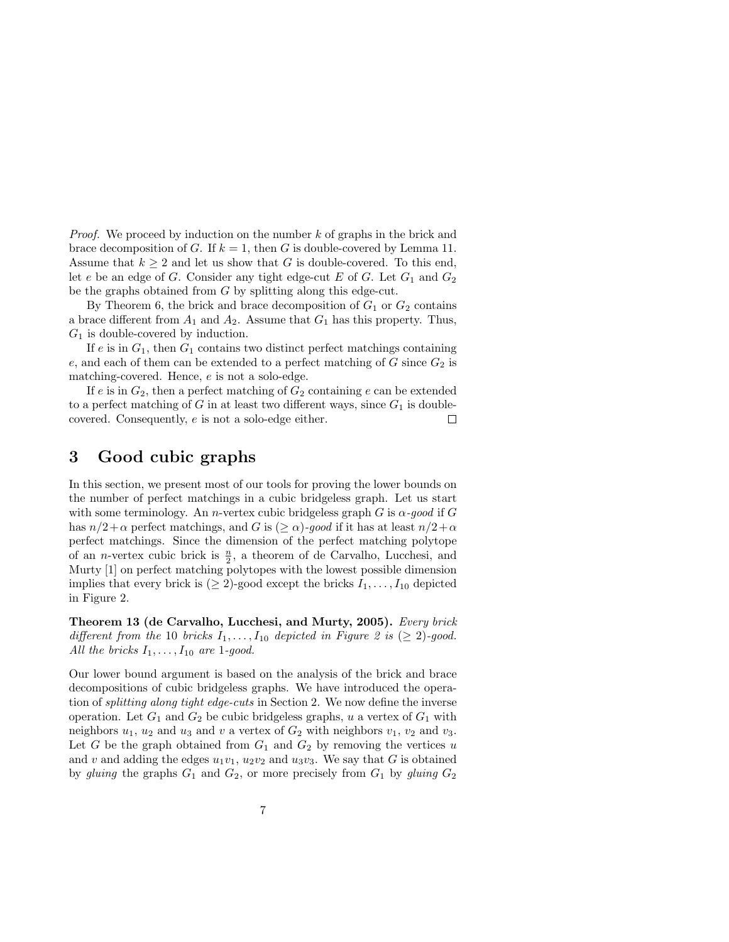*Proof.* We proceed by induction on the number  $k$  of graphs in the brick and brace decomposition of G. If  $k = 1$ , then G is double-covered by Lemma 11. Assume that  $k \geq 2$  and let us show that G is double-covered. To this end, let e be an edge of G. Consider any tight edge-cut E of G. Let  $G_1$  and  $G_2$ be the graphs obtained from G by splitting along this edge-cut.

By Theorem 6, the brick and brace decomposition of  $G_1$  or  $G_2$  contains a brace different from  $A_1$  and  $A_2$ . Assume that  $G_1$  has this property. Thus,  $G_1$  is double-covered by induction.

If e is in  $G_1$ , then  $G_1$  contains two distinct perfect matchings containing e, and each of them can be extended to a perfect matching of  $G$  since  $G_2$  is matching-covered. Hence, e is not a solo-edge.

If  $e$  is in  $G_2$ , then a perfect matching of  $G_2$  containing  $e$  can be extended to a perfect matching of G in at least two different ways, since  $G_1$  is doublecovered. Consequently, e is not a solo-edge either.  $\Box$ 

## 3 Good cubic graphs

In this section, we present most of our tools for proving the lower bounds on the number of perfect matchings in a cubic bridgeless graph. Let us start with some terminology. An *n*-vertex cubic bridgeless graph G is  $\alpha$ -good if G has  $n/2+\alpha$  perfect matchings, and G is  $(\geq \alpha)$ -good if it has at least  $n/2+\alpha$ perfect matchings. Since the dimension of the perfect matching polytope of an *n*-vertex cubic brick is  $\frac{n}{2}$ , a theorem of de Carvalho, Lucchesi, and Murty [1] on perfect matching polytopes with the lowest possible dimension implies that every brick is  $(≥ 2)$ -good except the bricks  $I_1, \ldots, I_{10}$  depicted in Figure 2.

Theorem 13 (de Carvalho, Lucchesi, and Murty, 2005). Every brick different from the 10 bricks  $I_1, \ldots, I_{10}$  depicted in Figure 2 is ( $\geq 2$ )-good. All the bricks  $I_1, \ldots, I_{10}$  are 1-good.

Our lower bound argument is based on the analysis of the brick and brace decompositions of cubic bridgeless graphs. We have introduced the operation of splitting along tight edge-cuts in Section 2. We now define the inverse operation. Let  $G_1$  and  $G_2$  be cubic bridgeless graphs, u a vertex of  $G_1$  with neighbors  $u_1$ ,  $u_2$  and  $u_3$  and  $v$  a vertex of  $G_2$  with neighbors  $v_1$ ,  $v_2$  and  $v_3$ . Let G be the graph obtained from  $G_1$  and  $G_2$  by removing the vertices u and v and adding the edges  $u_1v_1$ ,  $u_2v_2$  and  $u_3v_3$ . We say that G is obtained by gluing the graphs  $G_1$  and  $G_2$ , or more precisely from  $G_1$  by gluing  $G_2$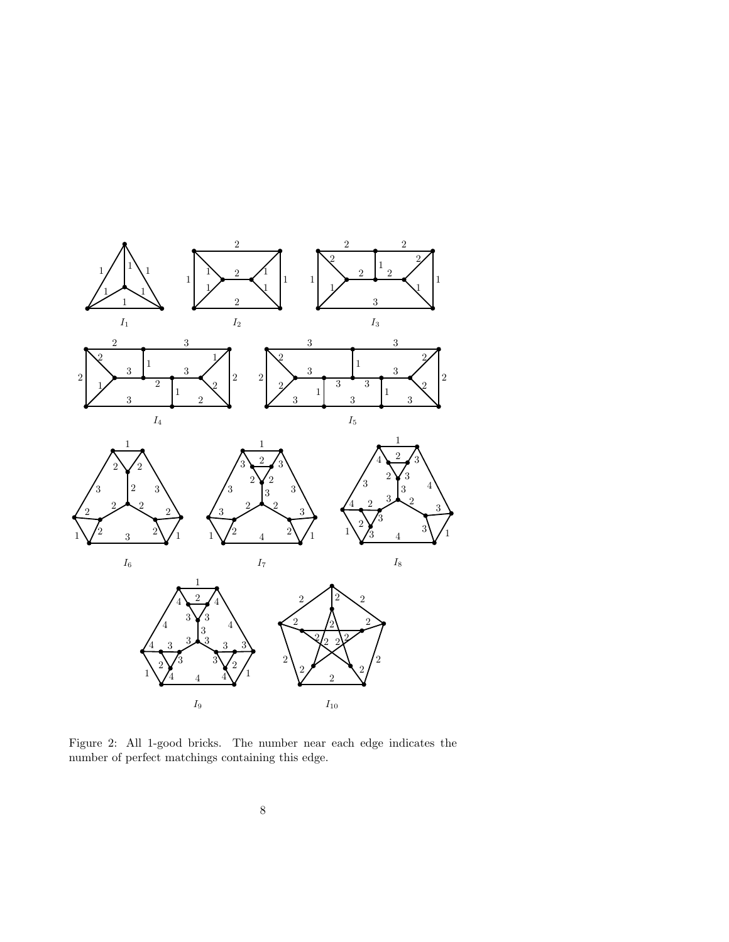

Figure 2: All 1-good bricks. The number near each edge indicates the number of perfect matchings containing this edge.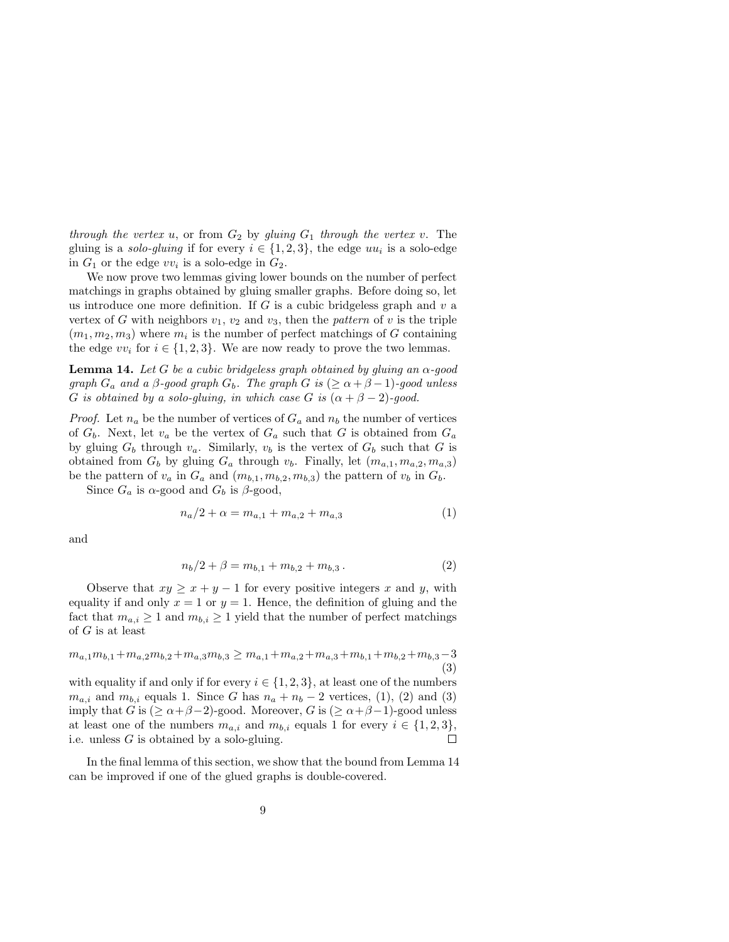through the vertex u, or from  $G_2$  by gluing  $G_1$  through the vertex v. The gluing is a *solo-gluing* if for every  $i \in \{1, 2, 3\}$ , the edge  $uu_i$  is a solo-edge in  $G_1$  or the edge  $vv_i$  is a solo-edge in  $G_2$ .

We now prove two lemmas giving lower bounds on the number of perfect matchings in graphs obtained by gluing smaller graphs. Before doing so, let us introduce one more definition. If  $G$  is a cubic bridgeless graph and  $v$  a vertex of G with neighbors  $v_1, v_2$  and  $v_3$ , then the pattern of v is the triple  $(m_1, m_2, m_3)$  where  $m_i$  is the number of perfect matchings of G containing the edge  $vv_i$  for  $i \in \{1,2,3\}$ . We are now ready to prove the two lemmas.

**Lemma 14.** Let G be a cubic bridgeless graph obtained by gluing an  $\alpha$ -good graph  $G_a$  and a  $\beta$ -good graph  $G_b$ . The graph  $G$  is  $(\geq \alpha + \beta - 1)$ -good unless G is obtained by a solo-gluing, in which case G is  $(\alpha + \beta - 2)$ -good.

*Proof.* Let  $n_a$  be the number of vertices of  $G_a$  and  $n_b$  the number of vertices of  $G_b$ . Next, let  $v_a$  be the vertex of  $G_a$  such that G is obtained from  $G_a$ by gluing  $G_b$  through  $v_a$ . Similarly,  $v_b$  is the vertex of  $G_b$  such that G is obtained from  $G_b$  by gluing  $G_a$  through  $v_b$ . Finally, let  $(m_{a,1}, m_{a,2}, m_{a,3})$ be the pattern of  $v_a$  in  $G_a$  and  $(m_{b,1}, m_{b,2}, m_{b,3})$  the pattern of  $v_b$  in  $G_b$ .

Since  $G_a$  is  $\alpha$ -good and  $G_b$  is  $\beta$ -good,

$$
n_a/2 + \alpha = m_{a,1} + m_{a,2} + m_{a,3} \tag{1}
$$

and

$$
n_b/2 + \beta = m_{b,1} + m_{b,2} + m_{b,3}.
$$
 (2)

Observe that  $xy \ge x + y - 1$  for every positive integers x and y, with equality if and only  $x = 1$  or  $y = 1$ . Hence, the definition of gluing and the fact that  $m_{a,i} \geq 1$  and  $m_{b,i} \geq 1$  yield that the number of perfect matchings of  $G$  is at least

$$
m_{a,1}m_{b,1} + m_{a,2}m_{b,2} + m_{a,3}m_{b,3} \ge m_{a,1} + m_{a,2} + m_{a,3} + m_{b,1} + m_{b,2} + m_{b,3} - 3
$$
\n(3)

with equality if and only if for every  $i \in \{1, 2, 3\}$ , at least one of the numbers  $m_{a,i}$  and  $m_{b,i}$  equals 1. Since G has  $n_a + n_b - 2$  vertices, (1), (2) and (3) imply that G is  $(\geq \alpha + \beta - 2)$ -good. Moreover, G is  $(\geq \alpha + \beta - 1)$ -good unless at least one of the numbers  $m_{a,i}$  and  $m_{b,i}$  equals 1 for every  $i \in \{1,2,3\},$ i.e. unless  $G$  is obtained by a solo-gluing.  $\Box$ 

In the final lemma of this section, we show that the bound from Lemma 14 can be improved if one of the glued graphs is double-covered.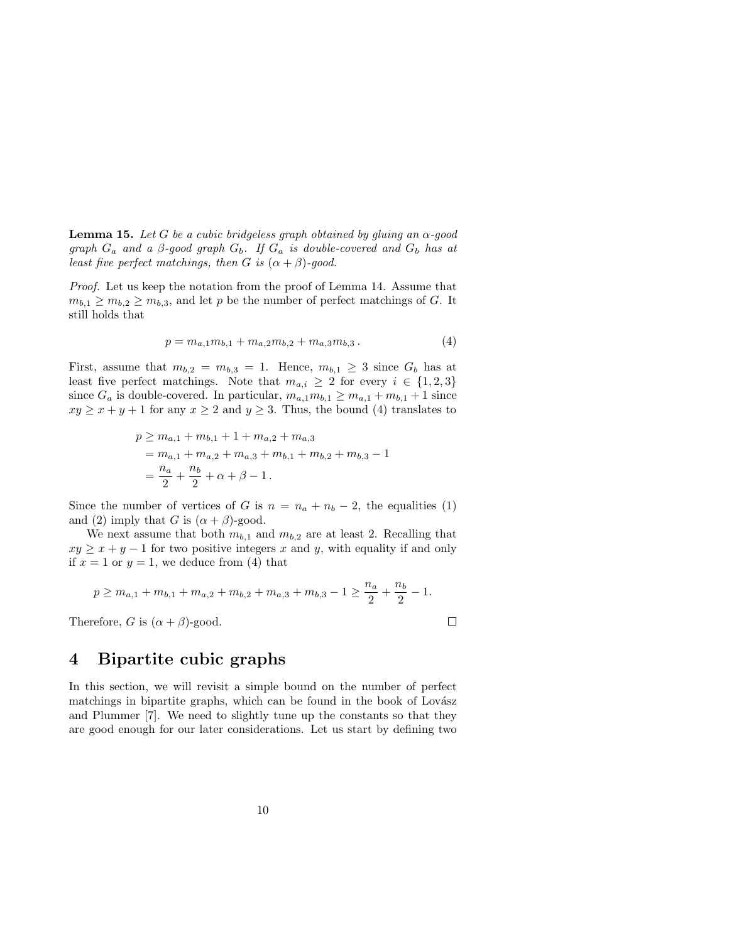**Lemma 15.** Let G be a cubic bridgeless graph obtained by gluing an  $\alpha$ -good graph  $G_a$  and a  $\beta$ -good graph  $G_b$ . If  $G_a$  is double-covered and  $G_b$  has at least five perfect matchings, then G is  $(\alpha + \beta)$ -good.

Proof. Let us keep the notation from the proof of Lemma 14. Assume that  $m_{b,1} \geq m_{b,2} \geq m_{b,3}$ , and let p be the number of perfect matchings of G. It still holds that

$$
p = m_{a,1}m_{b,1} + m_{a,2}m_{b,2} + m_{a,3}m_{b,3}.
$$
 (4)

First, assume that  $m_{b,2} = m_{b,3} = 1$ . Hence,  $m_{b,1} \geq 3$  since  $G_b$  has at least five perfect matchings. Note that  $m_{a,i} \geq 2$  for every  $i \in \{1,2,3\}$ since  $G_a$  is double-covered. In particular,  $m_{a,1}m_{b,1} \geq m_{a,1} + m_{b,1} + 1$  since  $xy \ge x + y + 1$  for any  $x \ge 2$  and  $y \ge 3$ . Thus, the bound (4) translates to

$$
p \ge m_{a,1} + m_{b,1} + 1 + m_{a,2} + m_{a,3}
$$
  
=  $m_{a,1} + m_{a,2} + m_{a,3} + m_{b,1} + m_{b,2} + m_{b,3} - 1$   
=  $\frac{n_a}{2} + \frac{n_b}{2} + \alpha + \beta - 1$ .

Since the number of vertices of G is  $n = n_a + n_b - 2$ , the equalities (1) and (2) imply that G is  $(\alpha + \beta)$ -good.

We next assume that both  $m_{b,1}$  and  $m_{b,2}$  are at least 2. Recalling that  $xy \geq x + y - 1$  for two positive integers x and y, with equality if and only if  $x = 1$  or  $y = 1$ , we deduce from (4) that

$$
p \ge m_{a,1} + m_{b,1} + m_{a,2} + m_{b,2} + m_{a,3} + m_{b,3} - 1 \ge \frac{n_a}{2} + \frac{n_b}{2} - 1.
$$

Therefore, G is  $(\alpha + \beta)$ -good.

 $\Box$ 

# 4 Bipartite cubic graphs

In this section, we will revisit a simple bound on the number of perfect matchings in bipartite graphs, which can be found in the book of Lovász and Plummer [7]. We need to slightly tune up the constants so that they are good enough for our later considerations. Let us start by defining two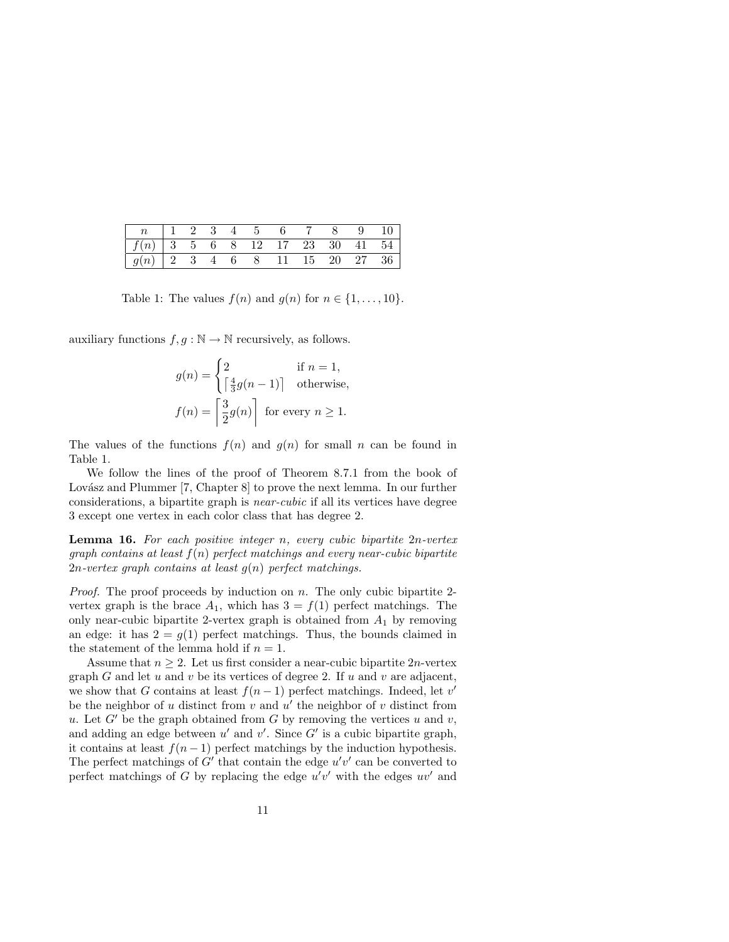| $\begin{array}{ c ccccccccccc }\hline f(n) & 3 & 5 & 6 & 8 & 12 & 17 & 23 & 30 & 41 & 54\hline \end{array}$ |  |  |  |  |  |
|-------------------------------------------------------------------------------------------------------------|--|--|--|--|--|
| $\begin{array}{ c ccccccccccc }\hline g(n) & 2 & 3 & 4 & 6 & 8 & 11 & 15 & 20 & 27 & 36\hline \end{array}$  |  |  |  |  |  |

Table 1: The values  $f(n)$  and  $g(n)$  for  $n \in \{1, \ldots, 10\}$ .

auxiliary functions  $f, g : \mathbb{N} \to \mathbb{N}$  recursively, as follows.

$$
g(n) = \begin{cases} 2 & \text{if } n = 1, \\ \lceil \frac{4}{3}g(n-1) \rceil & \text{otherwise,} \end{cases}
$$

$$
f(n) = \begin{bmatrix} 3 \\ 2g(n) \end{bmatrix}
$$
 for every  $n \ge 1$ .

The values of the functions  $f(n)$  and  $g(n)$  for small n can be found in Table 1.

We follow the lines of the proof of Theorem 8.7.1 from the book of Lovász and Plummer  $[7, Chapter 8]$  to prove the next lemma. In our further considerations, a bipartite graph is near-cubic if all its vertices have degree 3 except one vertex in each color class that has degree 2.

Lemma 16. For each positive integer n, every cubic bipartite 2n-vertex graph contains at least  $f(n)$  perfect matchings and every near-cubic bipartite 2n-vertex graph contains at least  $g(n)$  perfect matchings.

*Proof.* The proof proceeds by induction on  $n$ . The only cubic bipartite 2vertex graph is the brace  $A_1$ , which has  $3 = f(1)$  perfect matchings. The only near-cubic bipartite 2-vertex graph is obtained from  $A_1$  by removing an edge: it has  $2 = g(1)$  perfect matchings. Thus, the bounds claimed in the statement of the lemma hold if  $n = 1$ .

Assume that  $n \geq 2$ . Let us first consider a near-cubic bipartite 2*n*-vertex graph G and let u and v be its vertices of degree 2. If u and v are adjacent, we show that G contains at least  $f(n-1)$  perfect matchings. Indeed, let v' be the neighbor of  $u$  distinct from  $v$  and  $u'$  the neighbor of  $v$  distinct from u. Let  $G'$  be the graph obtained from G by removing the vertices u and v, and adding an edge between  $u'$  and  $v'$ . Since  $G'$  is a cubic bipartite graph, it contains at least  $f(n-1)$  perfect matchings by the induction hypothesis. The perfect matchings of  $G'$  that contain the edge  $u'v'$  can be converted to perfect matchings of G by replacing the edge  $u'v'$  with the edges  $uv'$  and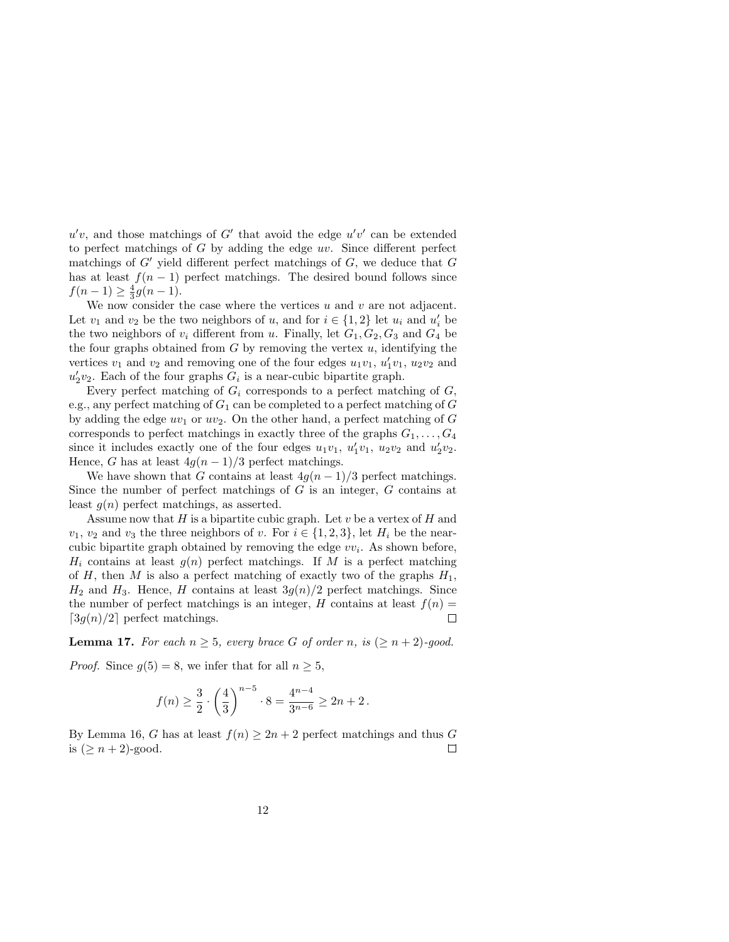$u'v$ , and those matchings of G' that avoid the edge  $u'v'$  can be extended to perfect matchings of  $G$  by adding the edge  $uv$ . Since different perfect matchings of  $G'$  yield different perfect matchings of  $G$ , we deduce that  $G$ has at least  $f(n-1)$  perfect matchings. The desired bound follows since  $f(n-1) \ge \frac{4}{3}g(n-1).$ 

We now consider the case where the vertices  $u$  and  $v$  are not adjacent. Let  $v_1$  and  $v_2$  be the two neighbors of  $u$ , and for  $i \in \{1,2\}$  let  $u_i$  and  $u'_i$  be the two neighbors of  $v_i$  different from u. Finally, let  $G_1, G_2, G_3$  and  $G_4$  be the four graphs obtained from  $G$  by removing the vertex  $u$ , identifying the vertices  $v_1$  and  $v_2$  and removing one of the four edges  $u_1v_1, u'_1v_1, u_2v_2$  and  $u'_2v_2$ . Each of the four graphs  $G_i$  is a near-cubic bipartite graph.

Every perfect matching of  $G_i$  corresponds to a perfect matching of  $G_i$ , e.g., any perfect matching of  $G_1$  can be completed to a perfect matching of  $G$ by adding the edge  $uv_1$  or  $uv_2$ . On the other hand, a perfect matching of G corresponds to perfect matchings in exactly three of the graphs  $G_1, \ldots, G_4$ since it includes exactly one of the four edges  $u_1v_1$ ,  $u'_1v_1$ ,  $u_2v_2$  and  $u'_2v_2$ . Hence, G has at least  $4g(n-1)/3$  perfect matchings.

We have shown that G contains at least  $4g(n-1)/3$  perfect matchings. Since the number of perfect matchings of  $G$  is an integer,  $G$  contains at least  $q(n)$  perfect matchings, as asserted.

Assume now that  $H$  is a bipartite cubic graph. Let  $v$  be a vertex of  $H$  and  $v_1, v_2$  and  $v_3$  the three neighbors of v. For  $i \in \{1, 2, 3\}$ , let  $H_i$  be the nearcubic bipartite graph obtained by removing the edge  $vv_i$ . As shown before,  $H_i$  contains at least  $g(n)$  perfect matchings. If M is a perfect matching of  $H$ , then  $M$  is also a perfect matching of exactly two of the graphs  $H_1$ ,  $H_2$  and  $H_3$ . Hence, H contains at least  $3q(n)/2$  perfect matchings. Since the number of perfect matchings is an integer, H contains at least  $f(n) =$  $\lceil 3g(n)/2 \rceil$  perfect matchings.  $\Box$ 

**Lemma 17.** For each  $n \geq 5$ , every brace G of order n, is  $(\geq n+2)$ -good.

*Proof.* Since  $g(5) = 8$ , we infer that for all  $n \geq 5$ ,

$$
f(n) \ge \frac{3}{2} \cdot \left(\frac{4}{3}\right)^{n-5} \cdot 8 = \frac{4^{n-4}}{3^{n-6}} \ge 2n + 2 \, .
$$

By Lemma 16, G has at least  $f(n) \geq 2n + 2$  perfect matchings and thus G  $\Box$ is  $(\geq n+2)$ -good.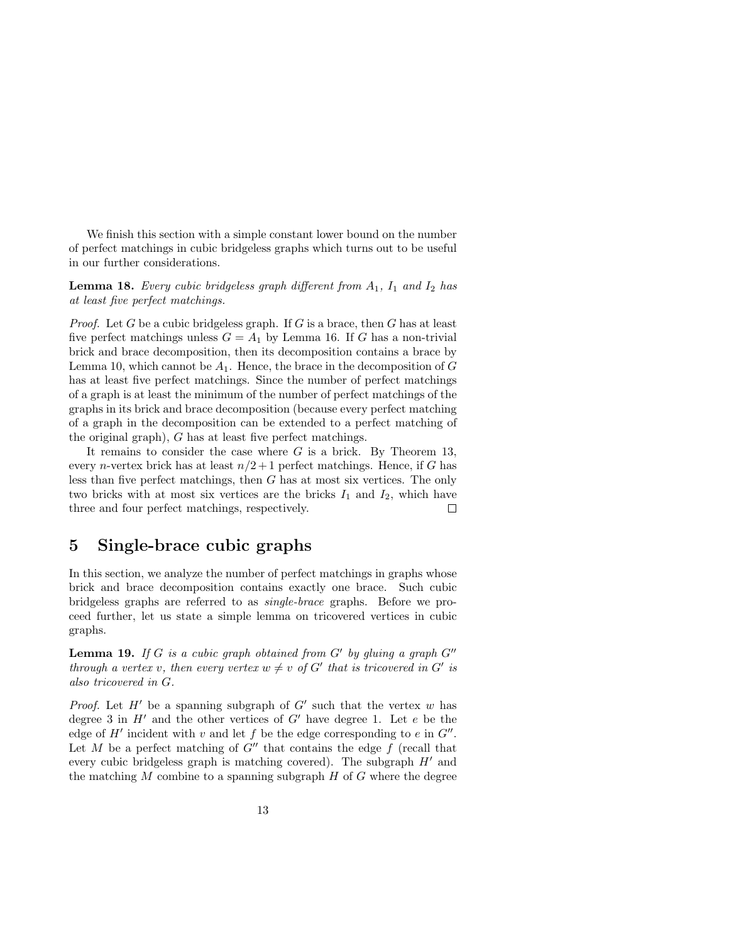We finish this section with a simple constant lower bound on the number of perfect matchings in cubic bridgeless graphs which turns out to be useful in our further considerations.

**Lemma 18.** Every cubic bridgeless graph different from  $A_1$ ,  $I_1$  and  $I_2$  has at least five perfect matchings.

*Proof.* Let G be a cubic bridgeless graph. If G is a brace, then G has at least five perfect matchings unless  $G = A_1$  by Lemma 16. If G has a non-trivial brick and brace decomposition, then its decomposition contains a brace by Lemma 10, which cannot be  $A_1$ . Hence, the brace in the decomposition of G has at least five perfect matchings. Since the number of perfect matchings of a graph is at least the minimum of the number of perfect matchings of the graphs in its brick and brace decomposition (because every perfect matching of a graph in the decomposition can be extended to a perfect matching of the original graph), G has at least five perfect matchings.

It remains to consider the case where  $G$  is a brick. By Theorem 13, every *n*-vertex brick has at least  $n/2+1$  perfect matchings. Hence, if G has less than five perfect matchings, then G has at most six vertices. The only two bricks with at most six vertices are the bricks  $I_1$  and  $I_2$ , which have three and four perfect matchings, respectively.  $\Box$ 

### 5 Single-brace cubic graphs

In this section, we analyze the number of perfect matchings in graphs whose brick and brace decomposition contains exactly one brace. Such cubic bridgeless graphs are referred to as single-brace graphs. Before we proceed further, let us state a simple lemma on tricovered vertices in cubic graphs.

**Lemma 19.** If G is a cubic graph obtained from  $G'$  by gluing a graph  $G''$ through a vertex v, then every vertex  $w \neq v$  of G' that is tricovered in G' is also tricovered in G.

*Proof.* Let  $H'$  be a spanning subgraph of  $G'$  such that the vertex w has degree 3 in  $H'$  and the other vertices of  $G'$  have degree 1. Let  $e$  be the edge of  $H'$  incident with v and let f be the edge corresponding to e in  $G''$ . Let M be a perfect matching of  $G''$  that contains the edge f (recall that every cubic bridgeless graph is matching covered). The subgraph  $H'$  and the matching  $M$  combine to a spanning subgraph  $H$  of  $G$  where the degree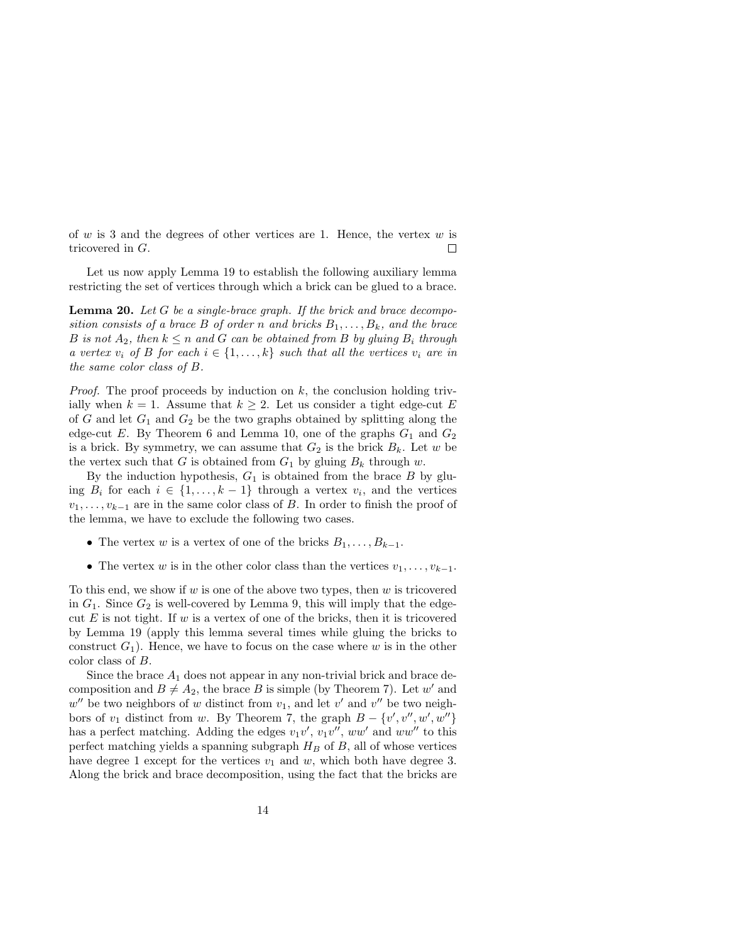of  $w$  is 3 and the degrees of other vertices are 1. Hence, the vertex  $w$  is tricovered in G.  $\Box$ 

Let us now apply Lemma 19 to establish the following auxiliary lemma restricting the set of vertices through which a brick can be glued to a brace.

**Lemma 20.** Let G be a single-brace graph. If the brick and brace decomposition consists of a brace B of order n and bricks  $B_1, \ldots, B_k$ , and the brace B is not  $A_2$ , then  $k \leq n$  and G can be obtained from B by gluing  $B_i$  through a vertex  $v_i$  of B for each  $i \in \{1, \ldots, k\}$  such that all the vertices  $v_i$  are in the same color class of B.

*Proof.* The proof proceeds by induction on  $k$ , the conclusion holding trivially when  $k = 1$ . Assume that  $k \geq 2$ . Let us consider a tight edge-cut E of G and let  $G_1$  and  $G_2$  be the two graphs obtained by splitting along the edge-cut E. By Theorem 6 and Lemma 10, one of the graphs  $G_1$  and  $G_2$ is a brick. By symmetry, we can assume that  $G_2$  is the brick  $B_k$ . Let w be the vertex such that G is obtained from  $G_1$  by gluing  $B_k$  through w.

By the induction hypothesis,  $G_1$  is obtained from the brace  $B$  by gluing  $B_i$  for each  $i \in \{1, \ldots, k-1\}$  through a vertex  $v_i$ , and the vertices  $v_1, \ldots, v_{k-1}$  are in the same color class of B. In order to finish the proof of the lemma, we have to exclude the following two cases.

- The vertex w is a vertex of one of the bricks  $B_1, \ldots, B_{k-1}$ .
- The vertex w is in the other color class than the vertices  $v_1, \ldots, v_{k-1}$ .

To this end, we show if w is one of the above two types, then w is tricovered in  $G_1$ . Since  $G_2$  is well-covered by Lemma 9, this will imply that the edgecut E is not tight. If w is a vertex of one of the bricks, then it is tricovered by Lemma 19 (apply this lemma several times while gluing the bricks to construct  $G_1$ ). Hence, we have to focus on the case where w is in the other color class of B.

Since the brace  $A_1$  does not appear in any non-trivial brick and brace decomposition and  $B \neq A_2$ , the brace B is simple (by Theorem 7). Let w' and  $w''$  be two neighbors of w distinct from  $v_1$ , and let  $v'$  and  $v''$  be two neighbors of  $v_1$  distinct from w. By Theorem 7, the graph  $B - \{v', v'', w', w''\}$ has a perfect matching. Adding the edges  $v_1v'$ ,  $v_1v''$ ,  $ww'$  and  $ww''$  to this perfect matching yields a spanning subgraph  $H_B$  of B, all of whose vertices have degree 1 except for the vertices  $v_1$  and w, which both have degree 3. Along the brick and brace decomposition, using the fact that the bricks are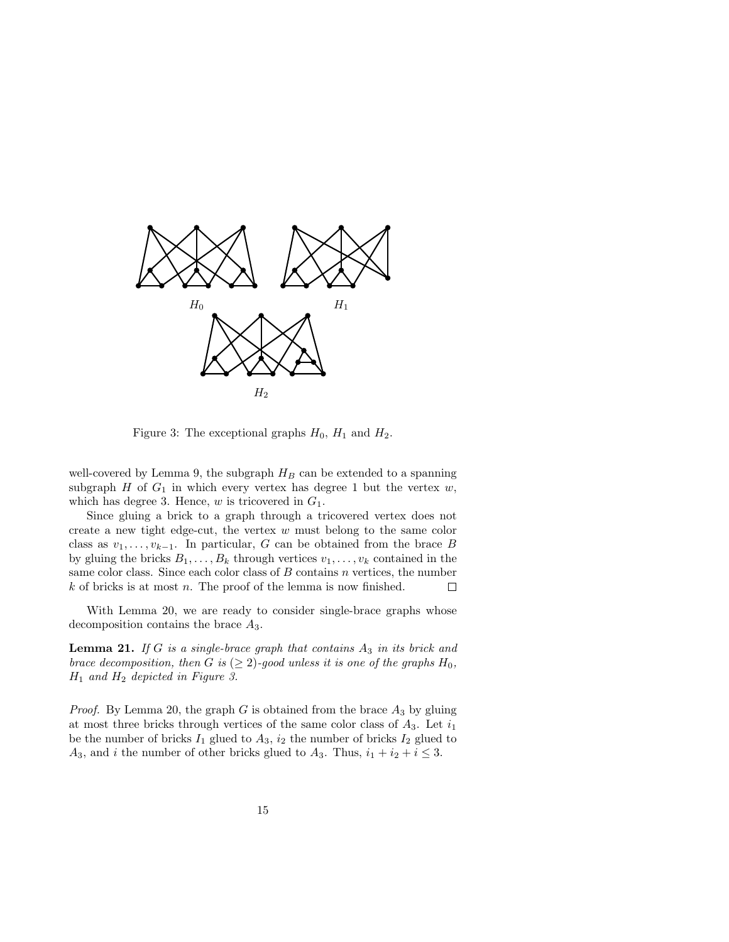

Figure 3: The exceptional graphs  $H_0$ ,  $H_1$  and  $H_2$ .

well-covered by Lemma 9, the subgraph  $H_B$  can be extended to a spanning subgraph  $H$  of  $G_1$  in which every vertex has degree 1 but the vertex  $w$ , which has degree 3. Hence,  $w$  is tricovered in  $G_1$ .

Since gluing a brick to a graph through a tricovered vertex does not create a new tight edge-cut, the vertex  $w$  must belong to the same color class as  $v_1, \ldots, v_{k-1}$ . In particular, G can be obtained from the brace B by gluing the bricks  $B_1, \ldots, B_k$  through vertices  $v_1, \ldots, v_k$  contained in the same color class. Since each color class of  $B$  contains  $n$  vertices, the number  $k$  of bricks is at most  $n$ . The proof of the lemma is now finished.  $\Box$ 

With Lemma 20, we are ready to consider single-brace graphs whose decomposition contains the brace  $A_3$ .

**Lemma 21.** If G is a single-brace graph that contains  $A_3$  in its brick and brace decomposition, then G is  $(\geq 2)$ -good unless it is one of the graphs  $H_0$ ,  $H_1$  and  $H_2$  depicted in Figure 3.

*Proof.* By Lemma 20, the graph  $G$  is obtained from the brace  $A_3$  by gluing at most three bricks through vertices of the same color class of  $A_3$ . Let  $i_1$ be the number of bricks  $I_1$  glued to  $A_3$ ,  $i_2$  the number of bricks  $I_2$  glued to  $A_3$ , and *i* the number of other bricks glued to  $A_3$ . Thus,  $i_1 + i_2 + i \leq 3$ .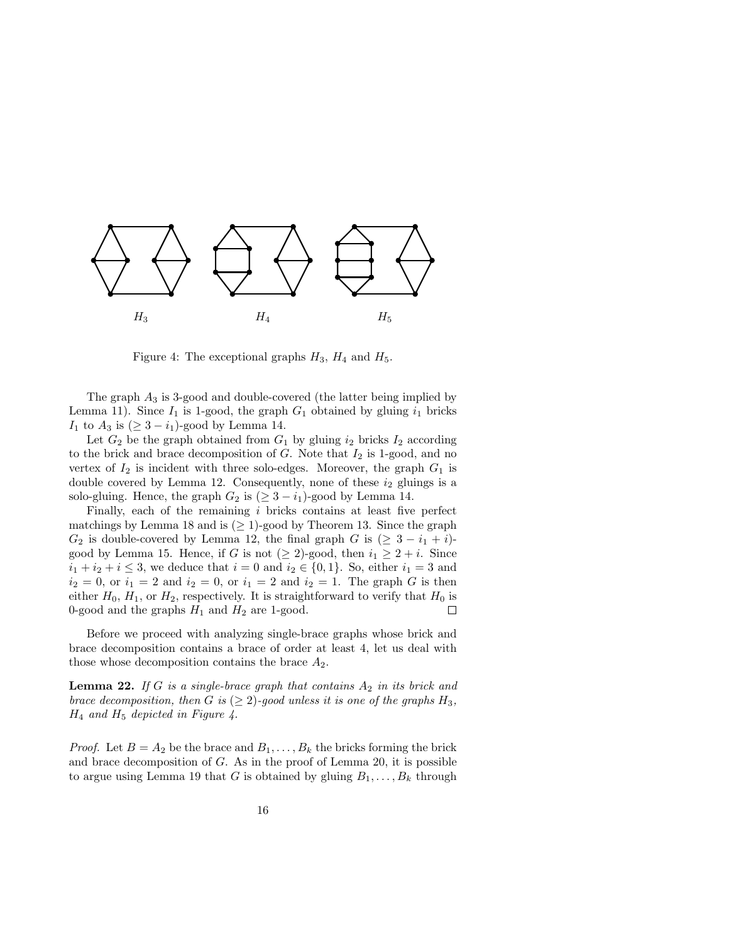

Figure 4: The exceptional graphs  $H_3$ ,  $H_4$  and  $H_5$ .

The graph  $A_3$  is 3-good and double-covered (the latter being implied by Lemma 11). Since  $I_1$  is 1-good, the graph  $G_1$  obtained by gluing  $i_1$  bricks  $I_1$  to  $A_3$  is  $(≥ 3 - i_1)$ -good by Lemma 14.

Let  $G_2$  be the graph obtained from  $G_1$  by gluing  $i_2$  bricks  $I_2$  according to the brick and brace decomposition of  $G$ . Note that  $I_2$  is 1-good, and no vertex of  $I_2$  is incident with three solo-edges. Moreover, the graph  $G_1$  is double covered by Lemma 12. Consequently, none of these  $i_2$  gluings is a solo-gluing. Hence, the graph  $G_2$  is  $(\geq 3 - i_1)$ -good by Lemma 14.

Finally, each of the remaining  $i$  bricks contains at least five perfect matchings by Lemma 18 and is  $(\geq 1)$ -good by Theorem 13. Since the graph  $G_2$  is double-covered by Lemma 12, the final graph G is  $(≥ 3 - i<sub>1</sub> + i)$ good by Lemma 15. Hence, if G is not  $(\geq 2)$ -good, then  $i_1 \geq 2 + i$ . Since  $i_1 + i_2 + i \leq 3$ , we deduce that  $i = 0$  and  $i_2 \in \{0, 1\}$ . So, either  $i_1 = 3$  and  $i_2 = 0$ , or  $i_1 = 2$  and  $i_2 = 0$ , or  $i_1 = 2$  and  $i_2 = 1$ . The graph G is then either  $H_0$ ,  $H_1$ , or  $H_2$ , respectively. It is straightforward to verify that  $H_0$  is 0-good and the graphs  $H_1$  and  $H_2$  are 1-good.  $\Box$ 

Before we proceed with analyzing single-brace graphs whose brick and brace decomposition contains a brace of order at least 4, let us deal with those whose decomposition contains the brace  $A_2$ .

**Lemma 22.** If G is a single-brace graph that contains  $A_2$  in its brick and brace decomposition, then G is  $(\geq 2)$ -good unless it is one of the graphs  $H_3$ ,  $H_4$  and  $H_5$  depicted in Figure 4.

*Proof.* Let  $B = A_2$  be the brace and  $B_1, \ldots, B_k$  the bricks forming the brick and brace decomposition of  $G$ . As in the proof of Lemma 20, it is possible to argue using Lemma 19 that G is obtained by gluing  $B_1, \ldots, B_k$  through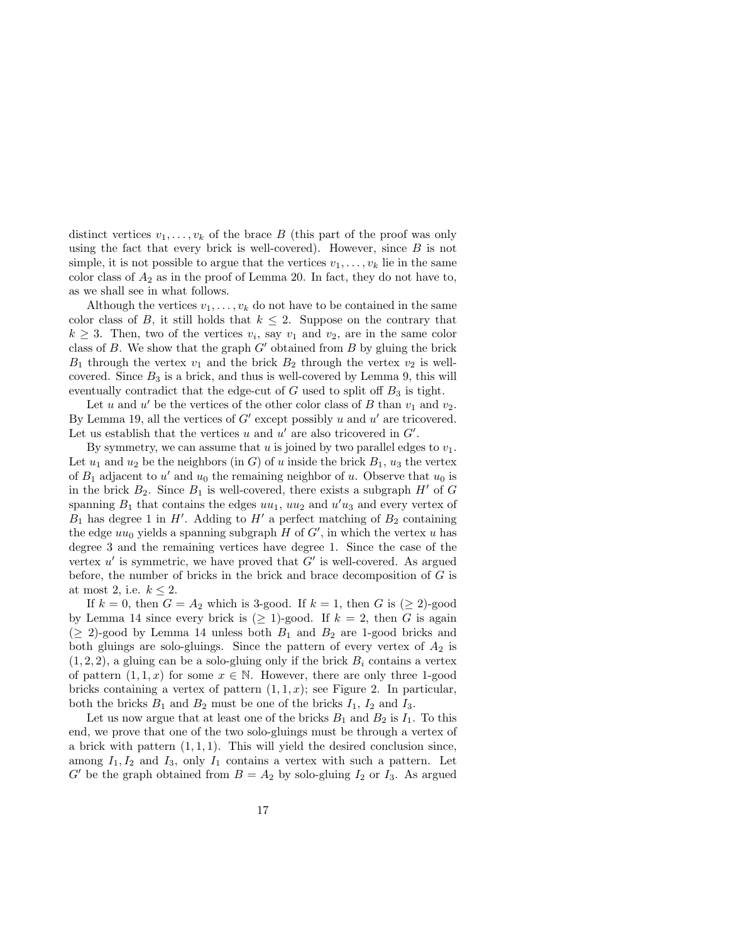distinct vertices  $v_1, \ldots, v_k$  of the brace B (this part of the proof was only using the fact that every brick is well-covered). However, since  $B$  is not simple, it is not possible to argue that the vertices  $v_1, \ldots, v_k$  lie in the same color class of  $A_2$  as in the proof of Lemma 20. In fact, they do not have to, as we shall see in what follows.

Although the vertices  $v_1, \ldots, v_k$  do not have to be contained in the same color class of B, it still holds that  $k \leq 2$ . Suppose on the contrary that  $k \geq 3$ . Then, two of the vertices  $v_i$ , say  $v_1$  and  $v_2$ , are in the same color class of B. We show that the graph  $G'$  obtained from B by gluing the brick  $B_1$  through the vertex  $v_1$  and the brick  $B_2$  through the vertex  $v_2$  is wellcovered. Since  $B_3$  is a brick, and thus is well-covered by Lemma 9, this will eventually contradict that the edge-cut of  $G$  used to split off  $B_3$  is tight.

Let u and u' be the vertices of the other color class of B than  $v_1$  and  $v_2$ . By Lemma 19, all the vertices of  $G'$  except possibly u and  $u'$  are tricovered. Let us establish that the vertices  $u$  and  $u'$  are also tricovered in  $G'$ .

By symmetry, we can assume that u is joined by two parallel edges to  $v_1$ . Let  $u_1$  and  $u_2$  be the neighbors (in G) of u inside the brick  $B_1$ ,  $u_3$  the vertex of  $B_1$  adjacent to u' and  $u_0$  the remaining neighbor of u. Observe that  $u_0$  is in the brick  $B_2$ . Since  $B_1$  is well-covered, there exists a subgraph  $H'$  of G spanning  $B_1$  that contains the edges  $uu_1$ ,  $uu_2$  and  $u'u_3$  and every vertex of  $B_1$  has degree 1 in H'. Adding to H' a perfect matching of  $B_2$  containing the edge  $uu_0$  yields a spanning subgraph H of  $G'$ , in which the vertex u has degree 3 and the remaining vertices have degree 1. Since the case of the vertex  $u'$  is symmetric, we have proved that  $G'$  is well-covered. As argued before, the number of bricks in the brick and brace decomposition of  $G$  is at most 2, i.e.  $k \leq 2$ .

If  $k = 0$ , then  $G = A_2$  which is 3-good. If  $k = 1$ , then G is  $(\geq 2)$ -good by Lemma 14 since every brick is  $(\geq 1)$ -good. If  $k = 2$ , then G is again  $(\geq 2)$ -good by Lemma 14 unless both  $B_1$  and  $B_2$  are 1-good bricks and both gluings are solo-gluings. Since the pattern of every vertex of  $A_2$  is  $(1, 2, 2)$ , a gluing can be a solo-gluing only if the brick  $B_i$  contains a vertex of pattern  $(1,1,x)$  for some  $x \in \mathbb{N}$ . However, there are only three 1-good bricks containing a vertex of pattern  $(1, 1, x)$ ; see Figure 2. In particular, both the bricks  $B_1$  and  $B_2$  must be one of the bricks  $I_1$ ,  $I_2$  and  $I_3$ .

Let us now argue that at least one of the bricks  $B_1$  and  $B_2$  is  $I_1$ . To this end, we prove that one of the two solo-gluings must be through a vertex of a brick with pattern  $(1, 1, 1)$ . This will yield the desired conclusion since, among  $I_1, I_2$  and  $I_3$ , only  $I_1$  contains a vertex with such a pattern. Let  $G'$  be the graph obtained from  $B = A_2$  by solo-gluing  $I_2$  or  $I_3$ . As argued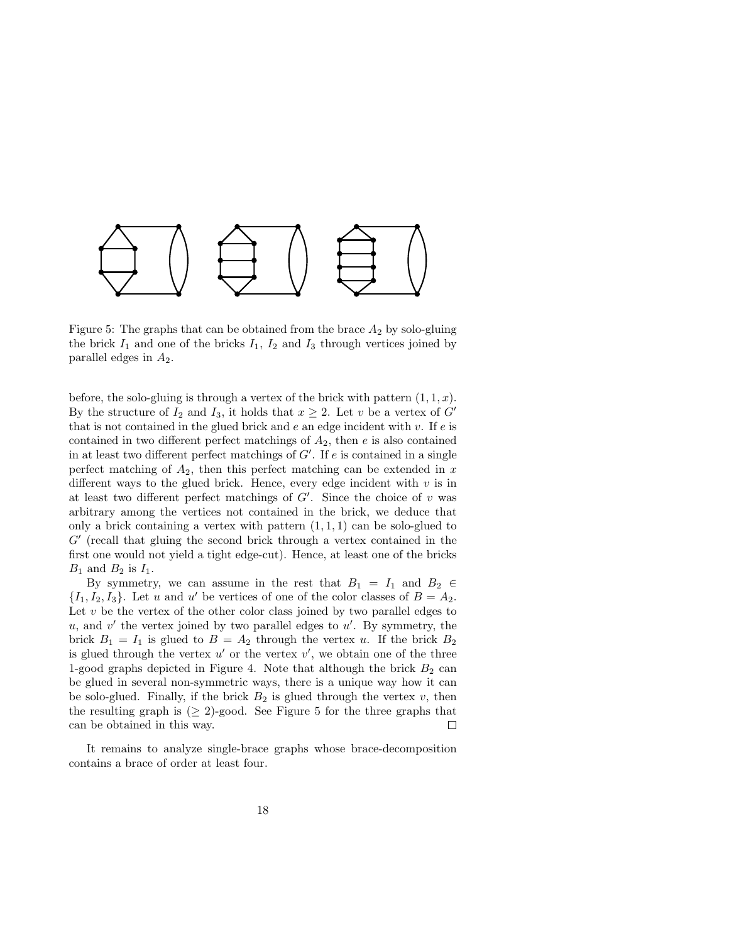

Figure 5: The graphs that can be obtained from the brace  $A_2$  by solo-gluing the brick  $I_1$  and one of the bricks  $I_1$ ,  $I_2$  and  $I_3$  through vertices joined by parallel edges in  $A_2$ .

before, the solo-gluing is through a vertex of the brick with pattern  $(1, 1, x)$ . By the structure of  $I_2$  and  $I_3$ , it holds that  $x \geq 2$ . Let v be a vertex of G' that is not contained in the glued brick and  $e$  an edge incident with v. If  $e$  is contained in two different perfect matchings of  $A_2$ , then  $e$  is also contained in at least two different perfect matchings of  $G'$ . If  $e$  is contained in a single perfect matching of  $A_2$ , then this perfect matching can be extended in x different ways to the glued brick. Hence, every edge incident with  $v$  is in at least two different perfect matchings of  $G'$ . Since the choice of  $v$  was arbitrary among the vertices not contained in the brick, we deduce that only a brick containing a vertex with pattern  $(1, 1, 1)$  can be solo-glued to  $G'$  (recall that gluing the second brick through a vertex contained in the first one would not yield a tight edge-cut). Hence, at least one of the bricks  $B_1$  and  $B_2$  is  $I_1$ .

By symmetry, we can assume in the rest that  $B_1 = I_1$  and  $B_2 \in$  $\{I_1, I_2, I_3\}$ . Let u and u' be vertices of one of the color classes of  $B = A_2$ . Let  $v$  be the vertex of the other color class joined by two parallel edges to  $u$ , and  $v'$  the vertex joined by two parallel edges to  $u'$ . By symmetry, the brick  $B_1 = I_1$  is glued to  $B = A_2$  through the vertex u. If the brick  $B_2$ is glued through the vertex  $u'$  or the vertex  $v'$ , we obtain one of the three 1-good graphs depicted in Figure 4. Note that although the brick  $B_2$  can be glued in several non-symmetric ways, there is a unique way how it can be solo-glued. Finally, if the brick  $B_2$  is glued through the vertex  $v$ , then the resulting graph is  $(\geq 2)$ -good. See Figure 5 for the three graphs that can be obtained in this way.  $\Box$ 

It remains to analyze single-brace graphs whose brace-decomposition contains a brace of order at least four.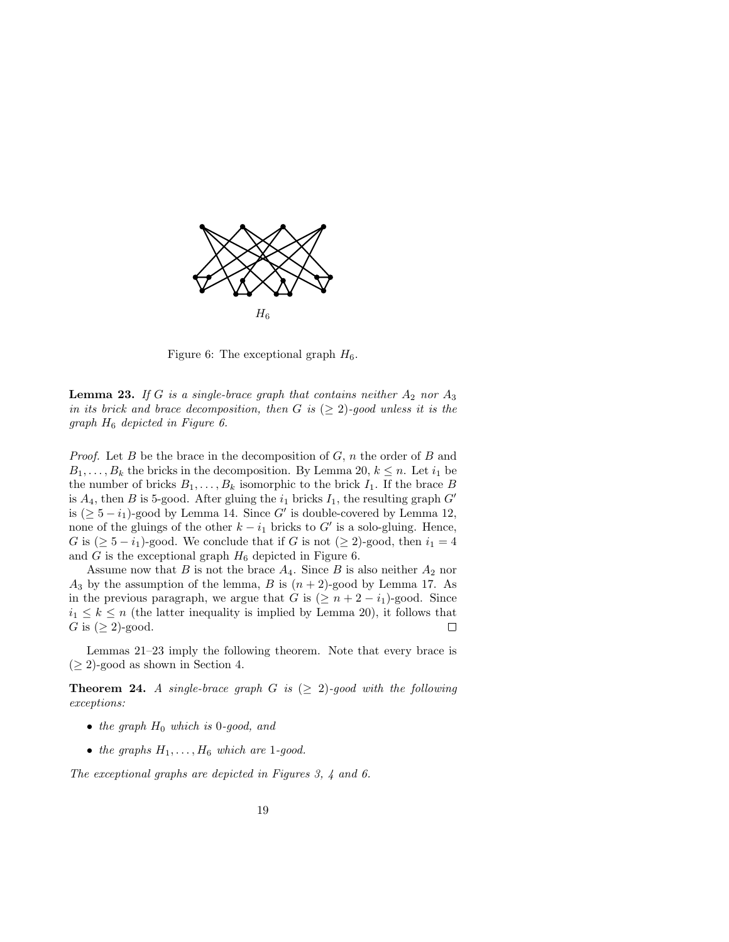

Figure 6: The exceptional graph  $H_6$ .

**Lemma 23.** If G is a single-brace graph that contains neither  $A_2$  nor  $A_3$ in its brick and brace decomposition, then G is  $(\geq 2)$ -good unless it is the graph  $H_6$  depicted in Figure 6.

*Proof.* Let B be the brace in the decomposition of  $G$ ,  $n$  the order of B and  $B_1, \ldots, B_k$  the bricks in the decomposition. By Lemma 20,  $k \leq n$ . Let  $i_1$  be the number of bricks  $B_1, \ldots, B_k$  isomorphic to the brick  $I_1$ . If the brace B is  $A_4$ , then B is 5-good. After gluing the  $i_1$  bricks  $I_1$ , the resulting graph  $G'$ is  $( \geq 5 - i_1)$ -good by Lemma 14. Since G' is double-covered by Lemma 12, none of the gluings of the other  $k - i_1$  bricks to G' is a solo-gluing. Hence, G is  $(\geq 5 - i_1)$ -good. We conclude that if G is not  $(\geq 2)$ -good, then  $i_1 = 4$ and  $G$  is the exceptional graph  $H_6$  depicted in Figure 6.

Assume now that B is not the brace  $A_4$ . Since B is also neither  $A_2$  nor  $A_3$  by the assumption of the lemma, B is  $(n+2)$ -good by Lemma 17. As in the previous paragraph, we argue that G is  $(\geq n+2-i_1)$ -good. Since  $i_1 \leq k \leq n$  (the latter inequality is implied by Lemma 20), it follows that G is  $(\geq 2)$ -good.  $\Box$ 

Lemmas 21–23 imply the following theorem. Note that every brace is  $(\geq 2)$ -good as shown in Section 4.

**Theorem 24.** A single-brace graph G is  $(\geq 2)$ -good with the following exceptions:

- the graph  $H_0$  which is 0-good, and
- the graphs  $H_1, \ldots, H_6$  which are 1-good.

The exceptional graphs are depicted in Figures 3, 4 and 6.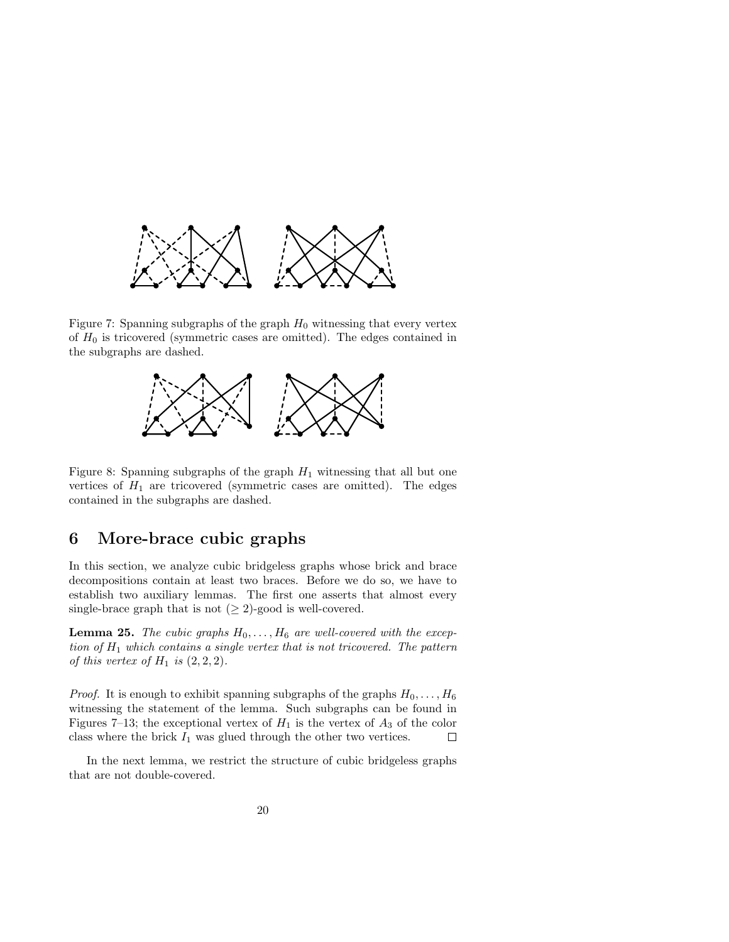

Figure 7: Spanning subgraphs of the graph  $H_0$  witnessing that every vertex of  $H_0$  is tricovered (symmetric cases are omitted). The edges contained in the subgraphs are dashed.



Figure 8: Spanning subgraphs of the graph  $H_1$  witnessing that all but one vertices of  $H_1$  are tricovered (symmetric cases are omitted). The edges contained in the subgraphs are dashed.

# 6 More-brace cubic graphs

In this section, we analyze cubic bridgeless graphs whose brick and brace decompositions contain at least two braces. Before we do so, we have to establish two auxiliary lemmas. The first one asserts that almost every single-brace graph that is not  $(≥ 2)$ -good is well-covered.

**Lemma 25.** The cubic graphs  $H_0, \ldots, H_6$  are well-covered with the exception of  $H_1$  which contains a single vertex that is not tricovered. The pattern of this vertex of  $H_1$  is  $(2, 2, 2)$ .

*Proof.* It is enough to exhibit spanning subgraphs of the graphs  $H_0, \ldots, H_6$ witnessing the statement of the lemma. Such subgraphs can be found in Figures 7–13; the exceptional vertex of  $H_1$  is the vertex of  $A_3$  of the color class where the brick  $I_1$  was glued through the other two vertices.  $\Box$ 

In the next lemma, we restrict the structure of cubic bridgeless graphs that are not double-covered.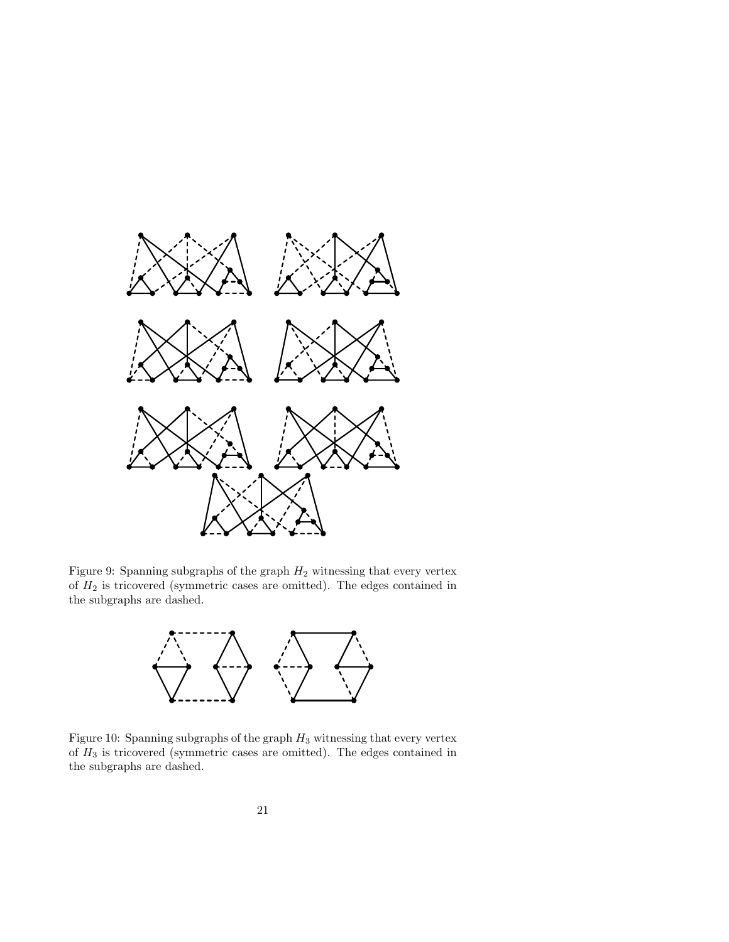

Figure 9: Spanning subgraphs of the graph  $H_2$  witnessing that every vertex of  $H_2$  is tricovered (symmetric cases are omitted). The edges contained in the subgraphs are dashed.



Figure 10: Spanning subgraphs of the graph  $H_3$  witnessing that every vertex of  ${\cal H}_3$  is tricovered (symmetric cases are omitted). The edges contained in the subgraphs are dashed.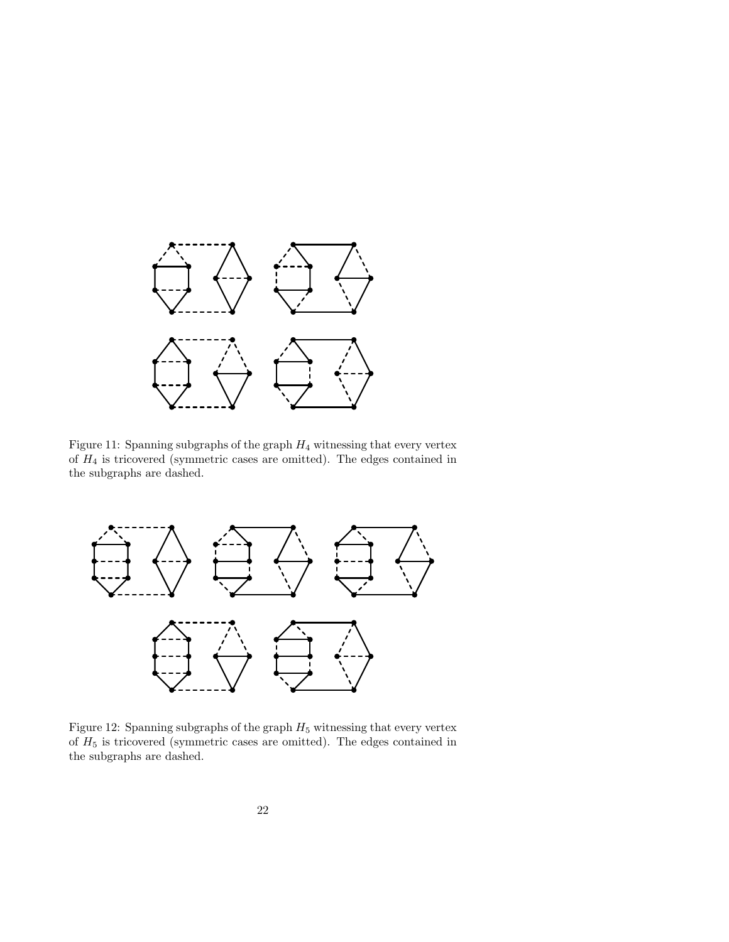

Figure 11: Spanning subgraphs of the graph  $H_4$  witnessing that every vertex of  $H_4$  is tricovered (symmetric cases are omitted). The edges contained in the subgraphs are dashed.



Figure 12: Spanning subgraphs of the graph  $H_5$  witnessing that every vertex of  $H_5$  is tricovered (symmetric cases are omitted). The edges contained in the subgraphs are dashed.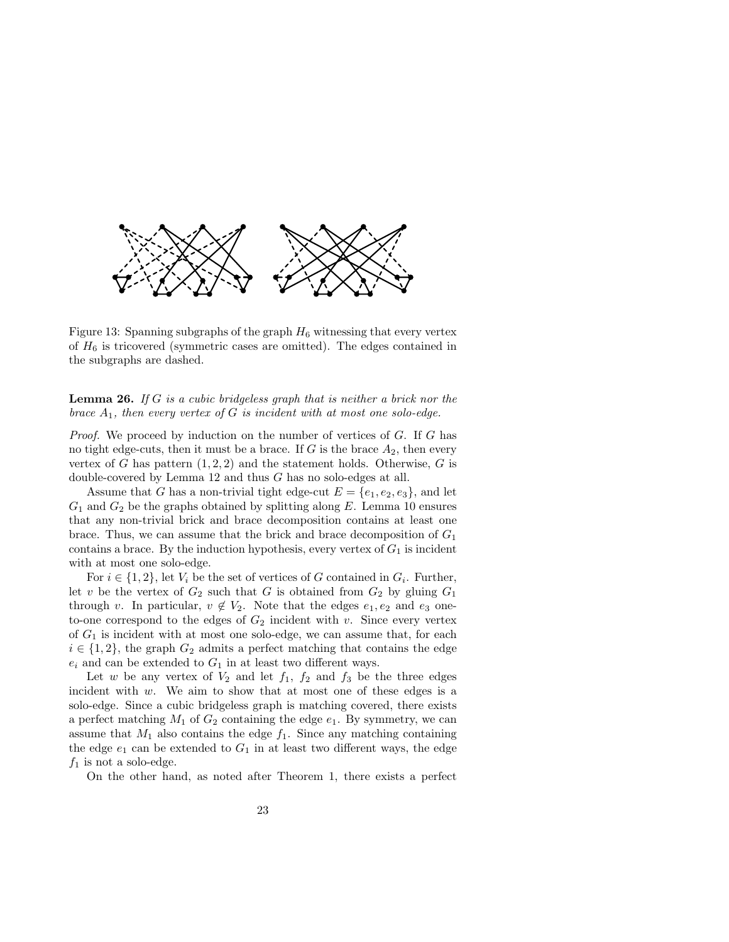

Figure 13: Spanning subgraphs of the graph  $H_6$  witnessing that every vertex of  $H_6$  is tricovered (symmetric cases are omitted). The edges contained in the subgraphs are dashed.

**Lemma 26.** If G is a cubic bridgeless graph that is neither a brick nor the brace  $A_1$ , then every vertex of G is incident with at most one solo-edge.

Proof. We proceed by induction on the number of vertices of G. If G has no tight edge-cuts, then it must be a brace. If  $G$  is the brace  $A_2$ , then every vertex of G has pattern  $(1, 2, 2)$  and the statement holds. Otherwise, G is double-covered by Lemma 12 and thus G has no solo-edges at all.

Assume that G has a non-trivial tight edge-cut  $E = \{e_1, e_2, e_3\}$ , and let  $G_1$  and  $G_2$  be the graphs obtained by splitting along E. Lemma 10 ensures that any non-trivial brick and brace decomposition contains at least one brace. Thus, we can assume that the brick and brace decomposition of  $G_1$ contains a brace. By the induction hypothesis, every vertex of  $G_1$  is incident with at most one solo-edge.

For  $i \in \{1, 2\}$ , let  $V_i$  be the set of vertices of G contained in  $G_i$ . Further, let v be the vertex of  $G_2$  such that G is obtained from  $G_2$  by gluing  $G_1$ through v. In particular,  $v \notin V_2$ . Note that the edges  $e_1, e_2$  and  $e_3$  oneto-one correspond to the edges of  $G_2$  incident with v. Since every vertex of  $G_1$  is incident with at most one solo-edge, we can assume that, for each  $i \in \{1,2\}$ , the graph  $G_2$  admits a perfect matching that contains the edge  $e_i$  and can be extended to  $G_1$  in at least two different ways.

Let w be any vertex of  $V_2$  and let  $f_1$ ,  $f_2$  and  $f_3$  be the three edges incident with w. We aim to show that at most one of these edges is a solo-edge. Since a cubic bridgeless graph is matching covered, there exists a perfect matching  $M_1$  of  $G_2$  containing the edge  $e_1$ . By symmetry, we can assume that  $M_1$  also contains the edge  $f_1$ . Since any matching containing the edge  $e_1$  can be extended to  $G_1$  in at least two different ways, the edge  $f_1$  is not a solo-edge.

On the other hand, as noted after Theorem 1, there exists a perfect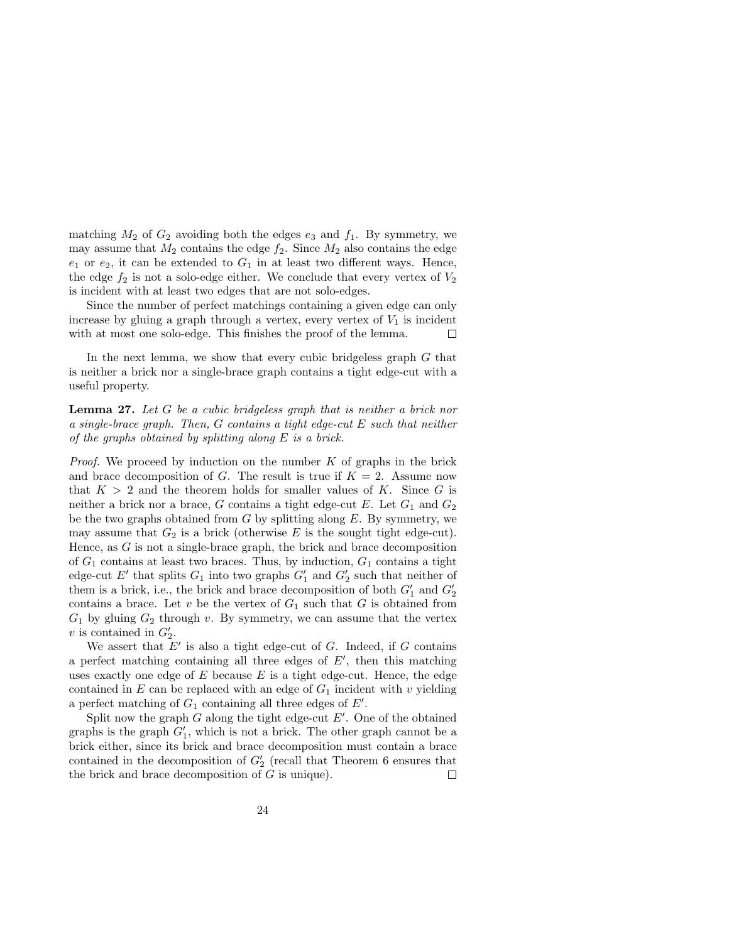matching  $M_2$  of  $G_2$  avoiding both the edges  $e_3$  and  $f_1$ . By symmetry, we may assume that  $M_2$  contains the edge  $f_2$ . Since  $M_2$  also contains the edge  $e_1$  or  $e_2$ , it can be extended to  $G_1$  in at least two different ways. Hence, the edge  $f_2$  is not a solo-edge either. We conclude that every vertex of  $V_2$ is incident with at least two edges that are not solo-edges.

Since the number of perfect matchings containing a given edge can only increase by gluing a graph through a vertex, every vertex of  $V_1$  is incident with at most one solo-edge. This finishes the proof of the lemma.  $\Box$ 

In the next lemma, we show that every cubic bridgeless graph G that is neither a brick nor a single-brace graph contains a tight edge-cut with a useful property.

Lemma 27. Let G be a cubic bridgeless graph that is neither a brick nor a single-brace graph. Then, G contains a tight edge-cut E such that neither of the graphs obtained by splitting along E is a brick.

*Proof.* We proceed by induction on the number  $K$  of graphs in the brick and brace decomposition of G. The result is true if  $K = 2$ . Assume now that  $K > 2$  and the theorem holds for smaller values of K. Since G is neither a brick nor a brace, G contains a tight edge-cut E. Let  $G_1$  and  $G_2$ be the two graphs obtained from  $G$  by splitting along  $E$ . By symmetry, we may assume that  $G_2$  is a brick (otherwise E is the sought tight edge-cut). Hence, as  $G$  is not a single-brace graph, the brick and brace decomposition of  $G_1$  contains at least two braces. Thus, by induction,  $G_1$  contains a tight edge-cut  $E'$  that splits  $G_1$  into two graphs  $G'_1$  and  $G'_2$  such that neither of them is a brick, i.e., the brick and brace decomposition of both  $G'_1$  and  $G'_2$ contains a brace. Let  $v$  be the vertex of  $G_1$  such that  $G$  is obtained from  $G_1$  by gluing  $G_2$  through v. By symmetry, we can assume that the vertex  $v$  is contained in  $G_2'$ .

We assert that  $E'$  is also a tight edge-cut of  $G$ . Indeed, if  $G$  contains a perfect matching containing all three edges of  $E'$ , then this matching uses exactly one edge of  $E$  because  $E$  is a tight edge-cut. Hence, the edge contained in E can be replaced with an edge of  $G_1$  incident with v yielding a perfect matching of  $G_1$  containing all three edges of  $E'$ .

Split now the graph  $G$  along the tight edge-cut  $E'$ . One of the obtained graphs is the graph  $G'_{1}$ , which is not a brick. The other graph cannot be a brick either, since its brick and brace decomposition must contain a brace contained in the decomposition of  $G'_{2}$  (recall that Theorem 6 ensures that the brick and brace decomposition of  $G$  is unique).  $\Box$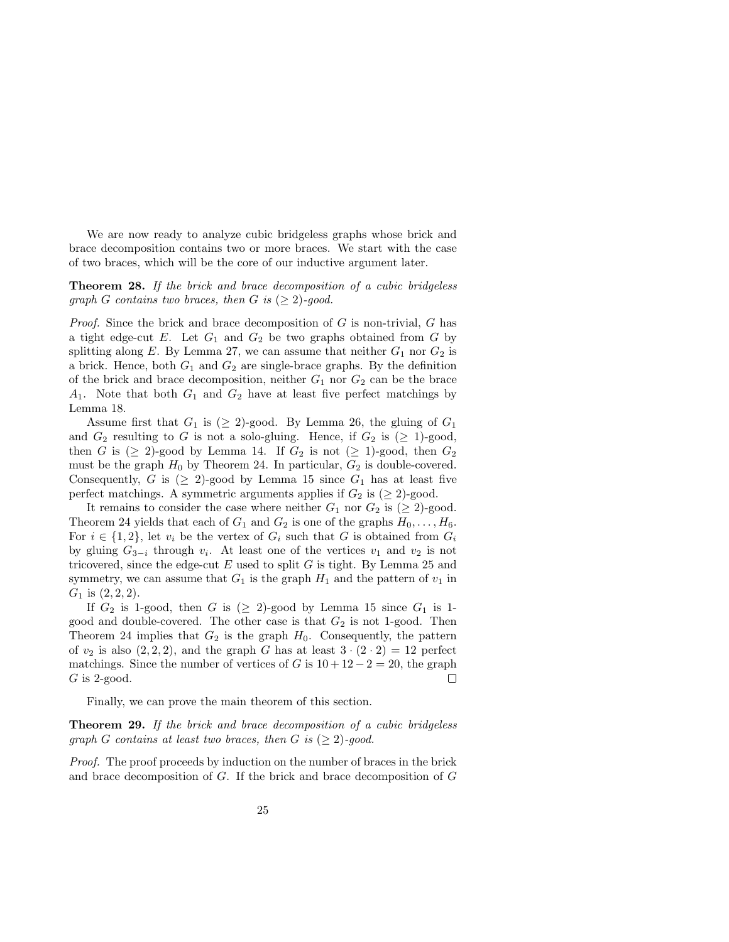We are now ready to analyze cubic bridgeless graphs whose brick and brace decomposition contains two or more braces. We start with the case of two braces, which will be the core of our inductive argument later.

Theorem 28. If the brick and brace decomposition of a cubic bridgeless graph G contains two braces, then G is  $(\geq 2)$ -good.

*Proof.* Since the brick and brace decomposition of  $G$  is non-trivial,  $G$  has a tight edge-cut E. Let  $G_1$  and  $G_2$  be two graphs obtained from G by splitting along E. By Lemma 27, we can assume that neither  $G_1$  nor  $G_2$  is a brick. Hence, both  $G_1$  and  $G_2$  are single-brace graphs. By the definition of the brick and brace decomposition, neither  $G_1$  nor  $G_2$  can be the brace  $A_1$ . Note that both  $G_1$  and  $G_2$  have at least five perfect matchings by Lemma 18.

Assume first that  $G_1$  is  $(\geq 2)$ -good. By Lemma 26, the gluing of  $G_1$ and  $G_2$  resulting to G is not a solo-gluing. Hence, if  $G_2$  is  $(\geq 1)$ -good, then G is  $(\geq 2)$ -good by Lemma 14. If  $G_2$  is not  $(\geq 1)$ -good, then  $G_2$ must be the graph  $H_0$  by Theorem 24. In particular,  $G_2$  is double-covered. Consequently, G is  $(\geq 2)$ -good by Lemma 15 since  $G_1$  has at least five perfect matchings. A symmetric arguments applies if  $G_2$  is  $(\geq 2)$ -good.

It remains to consider the case where neither  $G_1$  nor  $G_2$  is ( $\geq$  2)-good. Theorem 24 yields that each of  $G_1$  and  $G_2$  is one of the graphs  $H_0, \ldots, H_6$ . For  $i \in \{1,2\}$ , let  $v_i$  be the vertex of  $G_i$  such that G is obtained from  $G_i$ by gluing  $G_{3-i}$  through  $v_i$ . At least one of the vertices  $v_1$  and  $v_2$  is not tricovered, since the edge-cut  $E$  used to split  $G$  is tight. By Lemma 25 and symmetry, we can assume that  $G_1$  is the graph  $H_1$  and the pattern of  $v_1$  in  $G_1$  is  $(2, 2, 2)$ .

If  $G_2$  is 1-good, then G is ( $\geq$  2)-good by Lemma 15 since  $G_1$  is 1good and double-covered. The other case is that  $G_2$  is not 1-good. Then Theorem 24 implies that  $G_2$  is the graph  $H_0$ . Consequently, the pattern of  $v_2$  is also  $(2, 2, 2)$ , and the graph G has at least  $3 \cdot (2 \cdot 2) = 12$  perfect matchings. Since the number of vertices of G is  $10 + 12 - 2 = 20$ , the graph  $G$  is 2-good.  $\Box$ 

Finally, we can prove the main theorem of this section.

Theorem 29. If the brick and brace decomposition of a cubic bridgeless graph G contains at least two braces, then G is  $(\geq 2)$ -good.

Proof. The proof proceeds by induction on the number of braces in the brick and brace decomposition of G. If the brick and brace decomposition of G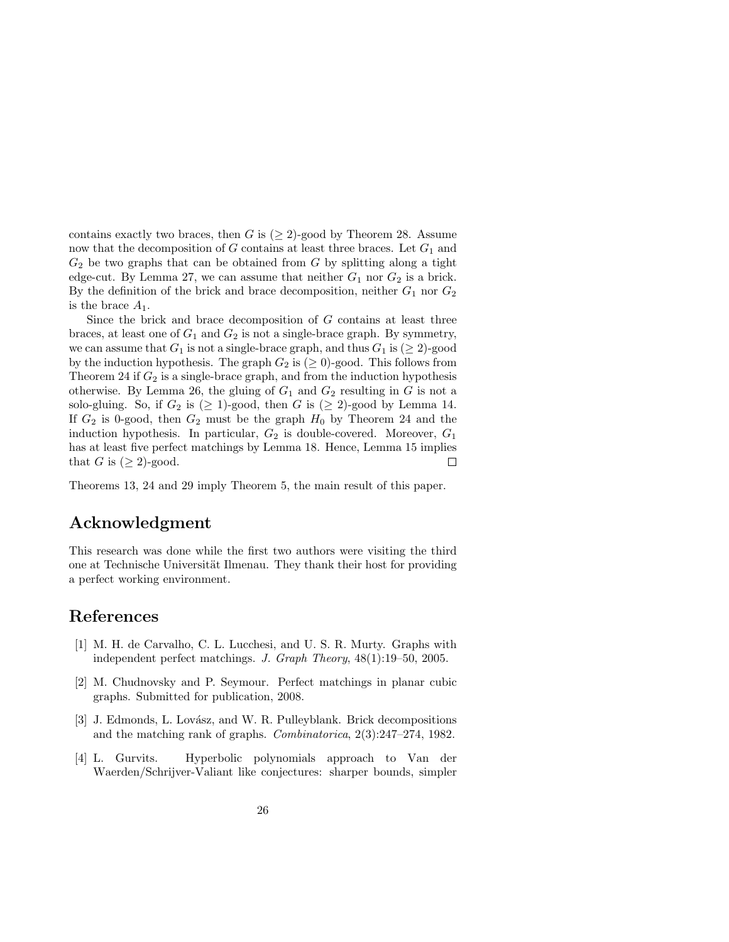contains exactly two braces, then G is  $(\geq 2)$ -good by Theorem 28. Assume now that the decomposition of  $G$  contains at least three braces. Let  $G_1$  and  $G_2$  be two graphs that can be obtained from G by splitting along a tight edge-cut. By Lemma 27, we can assume that neither  $G_1$  nor  $G_2$  is a brick. By the definition of the brick and brace decomposition, neither  $G_1$  nor  $G_2$ is the brace  $A_1$ .

Since the brick and brace decomposition of  $G$  contains at least three braces, at least one of  $G_1$  and  $G_2$  is not a single-brace graph. By symmetry, we can assume that  $G_1$  is not a single-brace graph, and thus  $G_1$  is ( $\geq 2$ )-good by the induction hypothesis. The graph  $G_2$  is  $(\geq 0)$ -good. This follows from Theorem 24 if  $G_2$  is a single-brace graph, and from the induction hypothesis otherwise. By Lemma 26, the gluing of  $G_1$  and  $G_2$  resulting in G is not a solo-gluing. So, if  $G_2$  is  $(\geq 1)$ -good, then G is  $(\geq 2)$ -good by Lemma 14. If  $G_2$  is 0-good, then  $G_2$  must be the graph  $H_0$  by Theorem 24 and the induction hypothesis. In particular,  $G_2$  is double-covered. Moreover,  $G_1$ has at least five perfect matchings by Lemma 18. Hence, Lemma 15 implies that G is  $(\geq 2)$ -good.  $\Box$ 

Theorems 13, 24 and 29 imply Theorem 5, the main result of this paper.

#### Acknowledgment

This research was done while the first two authors were visiting the third one at Technische Universität Ilmenau. They thank their host for providing a perfect working environment.

### References

- [1] M. H. de Carvalho, C. L. Lucchesi, and U. S. R. Murty. Graphs with independent perfect matchings. J. Graph Theory, 48(1):19–50, 2005.
- [2] M. Chudnovsky and P. Seymour. Perfect matchings in planar cubic graphs. Submitted for publication, 2008.
- [3] J. Edmonds, L. Lovász, and W. R. Pulleyblank. Brick decompositions and the matching rank of graphs. Combinatorica, 2(3):247–274, 1982.
- [4] L. Gurvits. Hyperbolic polynomials approach to Van der Waerden/Schrijver-Valiant like conjectures: sharper bounds, simpler